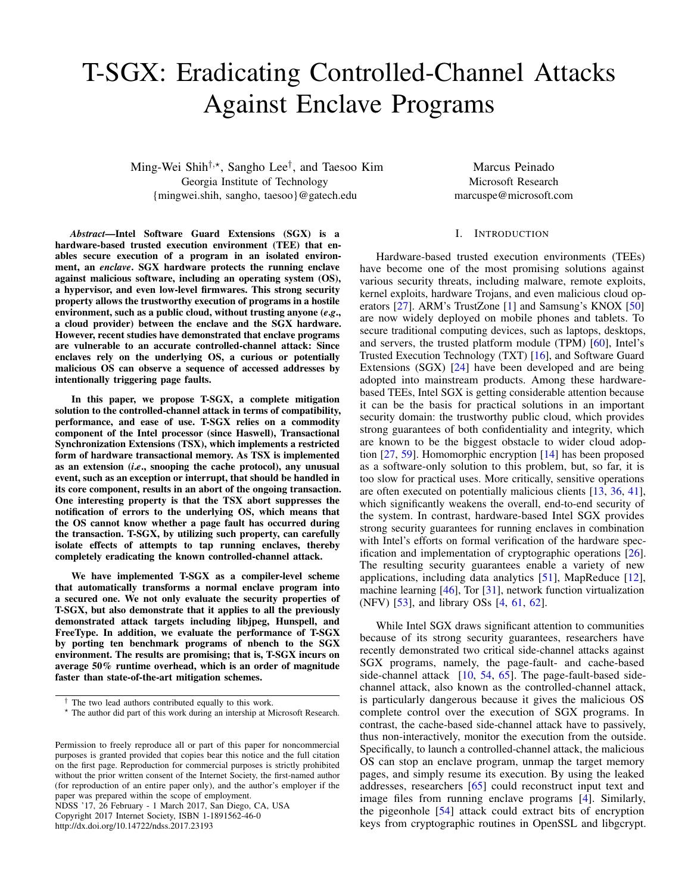# T-SGX: Eradicating Controlled-Channel Attacks Against Enclave Programs

Ming-Wei Shih<sup>†,\*</sup>, Sangho Lee<sup>†</sup>, and Taesoo Kim Georgia Institute of Technology {mingwei.shih, sangho, taesoo}@gatech.edu

*Abstract*—Intel Software Guard Extensions (SGX) is a hardware-based trusted execution environment (TEE) that enables secure execution of a program in an isolated environment, an *enclave*. SGX hardware protects the running enclave against malicious software, including an operating system (OS), a hypervisor, and even low-level firmwares. This strong security property allows the trustworthy execution of programs in a hostile environment, such as a public cloud, without trusting anyone (*e*.*g*., a cloud provider) between the enclave and the SGX hardware. However, recent studies have demonstrated that enclave programs are vulnerable to an accurate controlled-channel attack: Since enclaves rely on the underlying OS, a curious or potentially malicious OS can observe a sequence of accessed addresses by intentionally triggering page faults.

In this paper, we propose T-SGX, a complete mitigation solution to the controlled-channel attack in terms of compatibility, performance, and ease of use. T-SGX relies on a commodity component of the Intel processor (since Haswell), Transactional Synchronization Extensions (TSX), which implements a restricted form of hardware transactional memory. As TSX is implemented as an extension (*i*.*e*., snooping the cache protocol), any unusual event, such as an exception or interrupt, that should be handled in its core component, results in an abort of the ongoing transaction. One interesting property is that the TSX abort suppresses the notification of errors to the underlying OS, which means that the OS cannot know whether a page fault has occurred during the transaction. T-SGX, by utilizing such property, can carefully isolate effects of attempts to tap running enclaves, thereby completely eradicating the known controlled-channel attack.

We have implemented T-SGX as a compiler-level scheme that automatically transforms a normal enclave program into a secured one. We not only evaluate the security properties of T-SGX, but also demonstrate that it applies to all the previously demonstrated attack targets including libjpeg, Hunspell, and FreeType. In addition, we evaluate the performance of T-SGX by porting ten benchmark programs of nbench to the SGX environment. The results are promising; that is, T-SGX incurs on average 50% runtime overhead, which is an order of magnitude faster than state-of-the-art mitigation schemes.

NDSS '17, 26 February - 1 March 2017, San Diego, CA, USA Copyright 2017 Internet Society, ISBN 1-1891562-46-0

http://dx.doi.org/10.14722/ndss.2017.23193

Marcus Peinado Microsoft Research marcuspe@microsoft.com

# I. INTRODUCTION

Hardware-based trusted execution environments (TEEs) have become one of the most promising solutions against various security threats, including malware, remote exploits, kernel exploits, hardware Trojans, and even malicious cloud operators [\[27\]](#page-13-0). ARM's TrustZone [\[1\]](#page-13-1) and Samsung's KNOX [\[50\]](#page-14-0) are now widely deployed on mobile phones and tablets. To secure traditional computing devices, such as laptops, desktops, and servers, the trusted platform module (TPM) [\[60\]](#page-14-1), Intel's Trusted Execution Technology (TXT) [\[16\]](#page-13-2), and Software Guard Extensions (SGX) [\[24\]](#page-13-3) have been developed and are being adopted into mainstream products. Among these hardwarebased TEEs, Intel SGX is getting considerable attention because it can be the basis for practical solutions in an important security domain: the trustworthy public cloud, which provides strong guarantees of both confidentiality and integrity, which are known to be the biggest obstacle to wider cloud adoption [\[27,](#page-13-0) [59\]](#page-14-2). Homomorphic encryption [\[14\]](#page-13-4) has been proposed as a software-only solution to this problem, but, so far, it is too slow for practical uses. More critically, sensitive operations are often executed on potentially malicious clients [\[13,](#page-13-5) [36,](#page-14-3) [41\]](#page-14-4), which significantly weakens the overall, end-to-end security of the system. In contrast, hardware-based Intel SGX provides strong security guarantees for running enclaves in combination with Intel's efforts on formal verification of the hardware specification and implementation of cryptographic operations [\[26\]](#page-13-6). The resulting security guarantees enable a variety of new applications, including data analytics [\[51\]](#page-14-5), MapReduce [\[12\]](#page-13-7), machine learning [\[46\]](#page-14-6), Tor [\[31\]](#page-14-7), network function virtualization (NFV) [\[53\]](#page-14-8), and library OSs [\[4,](#page-13-8) [61,](#page-14-9) [62\]](#page-14-10).

While Intel SGX draws significant attention to communities because of its strong security guarantees, researchers have recently demonstrated two critical side-channel attacks against SGX programs, namely, the page-fault- and cache-based side-channel attack  $[10, 54, 65]$  $[10, 54, 65]$  $[10, 54, 65]$  $[10, 54, 65]$  $[10, 54, 65]$ . The page-fault-based sidechannel attack, also known as the controlled-channel attack, is particularly dangerous because it gives the malicious OS complete control over the execution of SGX programs. In contrast, the cache-based side-channel attack have to passively, thus non-interactively, monitor the execution from the outside. Specifically, to launch a controlled-channel attack, the malicious OS can stop an enclave program, unmap the target memory pages, and simply resume its execution. By using the leaked addresses, researchers [\[65\]](#page-14-12) could reconstruct input text and image files from running enclave programs [\[4\]](#page-13-8). Similarly, the pigeonhole [\[54\]](#page-14-11) attack could extract bits of encryption keys from cryptographic routines in OpenSSL and libgcrypt.

<sup>†</sup> The two lead authors contributed equally to this work.

<sup>⋆</sup> The author did part of this work during an intership at Microsoft Research.

Permission to freely reproduce all or part of this paper for noncommercial purposes is granted provided that copies bear this notice and the full citation on the first page. Reproduction for commercial purposes is strictly prohibited without the prior written consent of the Internet Society, the first-named author (for reproduction of an entire paper only), and the author's employer if the paper was prepared within the scope of employment.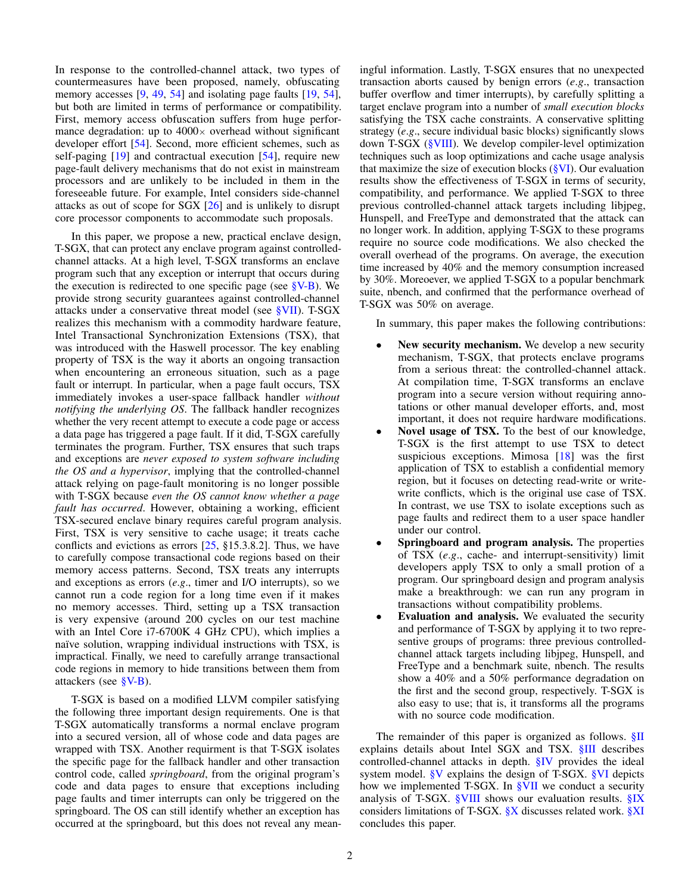In response to the controlled-channel attack, two types of countermeasures have been proposed, namely, obfuscating memory accesses [\[9,](#page-13-10) [49,](#page-14-13) [54\]](#page-14-11) and isolating page faults [\[19,](#page-13-11) 54], but both are limited in terms of performance or compatibility. First, memory access obfuscation suffers from huge performance degradation: up to  $4000 \times$  overhead without significant developer effort [\[54\]](#page-14-11). Second, more efficient schemes, such as self-paging [\[19\]](#page-13-11) and contractual execution [\[54\]](#page-14-11), require new page-fault delivery mechanisms that do not exist in mainstream processors and are unlikely to be included in them in the foreseeable future. For example, Intel considers side-channel attacks as out of scope for SGX [\[26\]](#page-13-6) and is unlikely to disrupt core processor components to accommodate such proposals.

In this paper, we propose a new, practical enclave design, T-SGX, that can protect any enclave program against controlledchannel attacks. At a high level, T-SGX transforms an enclave program such that any exception or interrupt that occurs during the execution is redirected to one specific page (see  $\S V-B$ ). We provide strong security guarantees against controlled-channel attacks under a conservative threat model (see [§VII\)](#page-8-0). T-SGX realizes this mechanism with a commodity hardware feature, Intel Transactional Synchronization Extensions (TSX), that was introduced with the Haswell processor. The key enabling property of TSX is the way it aborts an ongoing transaction when encountering an erroneous situation, such as a page fault or interrupt. In particular, when a page fault occurs, TSX immediately invokes a user-space fallback handler *without notifying the underlying OS*. The fallback handler recognizes whether the very recent attempt to execute a code page or access a data page has triggered a page fault. If it did, T-SGX carefully terminates the program. Further, TSX ensures that such traps and exceptions are *never exposed to system software including the OS and a hypervisor*, implying that the controlled-channel attack relying on page-fault monitoring is no longer possible with T-SGX because *even the OS cannot know whether a page fault has occurred*. However, obtaining a working, efficient TSX-secured enclave binary requires careful program analysis. First, TSX is very sensitive to cache usage; it treats cache conflicts and evictions as errors [\[25,](#page-13-12) §15.3.8.2]. Thus, we have to carefully compose transactional code regions based on their memory access patterns. Second, TSX treats any interrupts and exceptions as errors (*e*.*g*., timer and I/O interrupts), so we cannot run a code region for a long time even if it makes no memory accesses. Third, setting up a TSX transaction is very expensive (around 200 cycles on our test machine with an Intel Core i7-6700K 4 GHz CPU), which implies a naïve solution, wrapping individual instructions with TSX, is impractical. Finally, we need to carefully arrange transactional code regions in memory to hide transitions between them from attackers (see [§V-B\)](#page-5-0).

T-SGX is based on a modified LLVM compiler satisfying the following three important design requirements. One is that T-SGX automatically transforms a normal enclave program into a secured version, all of whose code and data pages are wrapped with TSX. Another requirment is that T-SGX isolates the specific page for the fallback handler and other transaction control code, called *springboard*, from the original program's code and data pages to ensure that exceptions including page faults and timer interrupts can only be triggered on the springboard. The OS can still identify whether an exception has occurred at the springboard, but this does not reveal any meaningful information. Lastly, T-SGX ensures that no unexpected transaction aborts caused by benign errors (*e*.*g*., transaction buffer overflow and timer interrupts), by carefully splitting a target enclave program into a number of *small execution blocks* satisfying the TSX cache constraints. A conservative splitting strategy (*e*.*g*., secure individual basic blocks) significantly slows down T-SGX [\(§VIII\)](#page-9-0). We develop compiler-level optimization techniques such as loop optimizations and cache usage analysis that maximize the size of execution blocks  $(\frac{8}{8}V)$ . Our evaluation results show the effectiveness of T-SGX in terms of security, compatibility, and performance. We applied T-SGX to three previous controlled-channel attack targets including libjpeg, Hunspell, and FreeType and demonstrated that the attack can no longer work. In addition, applying T-SGX to these programs require no source code modifications. We also checked the overall overhead of the programs. On average, the execution time increased by 40% and the memory consumption increased by 30%. Moreoever, we applied T-SGX to a popular benchmark suite, nbench, and confirmed that the performance overhead of T-SGX was 50% on average.

In summary, this paper makes the following contributions:

- New security mechanism. We develop a new security mechanism, T-SGX, that protects enclave programs from a serious threat: the controlled-channel attack. At compilation time, T-SGX transforms an enclave program into a secure version without requiring annotations or other manual developer efforts, and, most important, it does not require hardware modifications.
- Novel usage of TSX. To the best of our knowledge, T-SGX is the first attempt to use TSX to detect suspicious exceptions. Mimosa  $[18]$  was the first application of TSX to establish a confidential memory region, but it focuses on detecting read-write or writewrite conflicts, which is the original use case of TSX. In contrast, we use TSX to isolate exceptions such as page faults and redirect them to a user space handler under our control.
- Springboard and program analysis. The properties of TSX (*e*.*g*., cache- and interrupt-sensitivity) limit developers apply TSX to only a small protion of a program. Our springboard design and program analysis make a breakthrough: we can run any program in transactions without compatibility problems.
- Evaluation and analysis. We evaluated the security and performance of T-SGX by applying it to two representive groups of programs: three previous controlledchannel attack targets including libjpeg, Hunspell, and FreeType and a benchmark suite, nbench. The results show a 40% and a 50% performance degradation on the first and the second group, respectively. T-SGX is also easy to use; that is, it transforms all the programs with no source code modification.

The remainder of this paper is organized as follows. [§II](#page-2-0) explains details about Intel SGX and TSX. [§III](#page-3-0) describes controlled-channel attacks in depth. [§IV](#page-4-0) provides the ideal system model. [§V](#page-5-1) explains the design of T-SGX. [§VI](#page-8-1) depicts how we implemented T-SGX. In [§VII](#page-8-0) we conduct a security analysis of T-SGX. [§VIII](#page-9-0) shows our evaluation results. [§IX](#page-11-0) considers limitations of T-SGX. [§X](#page-12-0) discusses related work. [§XI](#page-13-14) concludes this paper.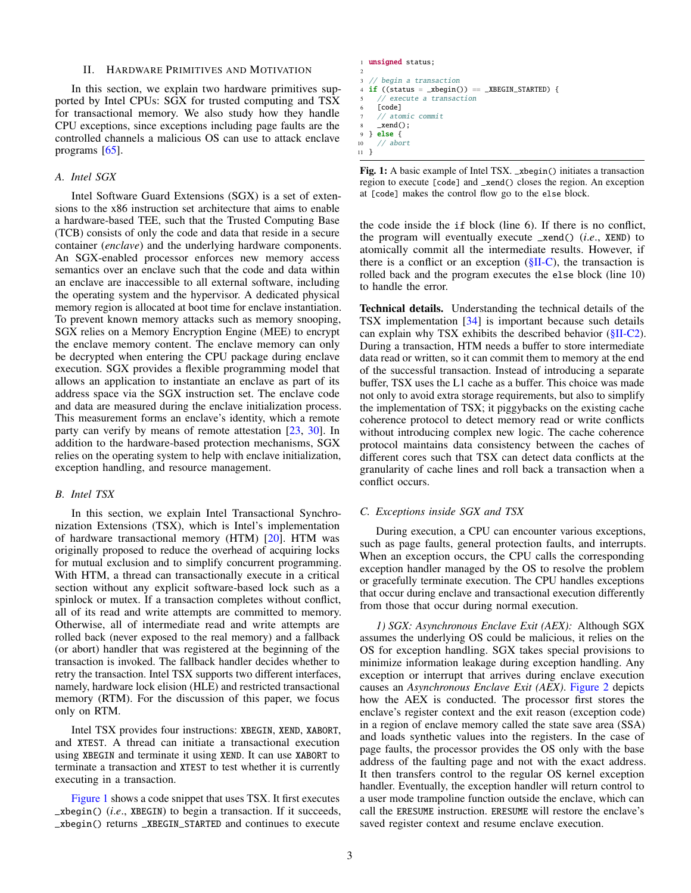#### II. HARDWARE PRIMITIVES AND MOTIVATION

<span id="page-2-0"></span>In this section, we explain two hardware primitives supported by Intel CPUs: SGX for trusted computing and TSX for transactional memory. We also study how they handle CPU exceptions, since exceptions including page faults are the controlled channels a malicious OS can use to attack enclave programs [\[65\]](#page-14-12).

## *A. Intel SGX*

Intel Software Guard Extensions (SGX) is a set of extensions to the x86 instruction set architecture that aims to enable a hardware-based TEE, such that the Trusted Computing Base (TCB) consists of only the code and data that reside in a secure container (*enclave*) and the underlying hardware components. An SGX-enabled processor enforces new memory access semantics over an enclave such that the code and data within an enclave are inaccessible to all external software, including the operating system and the hypervisor. A dedicated physical memory region is allocated at boot time for enclave instantiation. To prevent known memory attacks such as memory snooping, SGX relies on a Memory Encryption Engine (MEE) to encrypt the enclave memory content. The enclave memory can only be decrypted when entering the CPU package during enclave execution. SGX provides a flexible programming model that allows an application to instantiate an enclave as part of its address space via the SGX instruction set. The enclave code and data are measured during the enclave initialization process. This measurement forms an enclave's identity, which a remote party can verify by means of remote attestation [\[23,](#page-13-15) [30\]](#page-14-14). In addition to the hardware-based protection mechanisms, SGX relies on the operating system to help with enclave initialization, exception handling, and resource management.

## <span id="page-2-3"></span>*B. Intel TSX*

In this section, we explain Intel Transactional Synchronization Extensions (TSX), which is Intel's implementation of hardware transactional memory (HTM) [\[20\]](#page-13-16). HTM was originally proposed to reduce the overhead of acquiring locks for mutual exclusion and to simplify concurrent programming. With HTM, a thread can transactionally execute in a critical section without any explicit software-based lock such as a spinlock or mutex. If a transaction completes without conflict, all of its read and write attempts are committed to memory. Otherwise, all of intermediate read and write attempts are rolled back (never exposed to the real memory) and a fallback (or abort) handler that was registered at the beginning of the transaction is invoked. The fallback handler decides whether to retry the transaction. Intel TSX supports two different interfaces, namely, hardware lock elision (HLE) and restricted transactional memory (RTM). For the discussion of this paper, we focus only on RTM.

Intel TSX provides four instructions: XBEGIN, XEND, XABORT, and XTEST. A thread can initiate a transactional execution using XBEGIN and terminate it using XEND. It can use XABORT to terminate a transaction and XTEST to test whether it is currently executing in a transaction.

[Figure 1](#page-2-1) shows a code snippet that uses TSX. It first executes \_xbegin() (*i*.*e*., XBEGIN) to begin a transaction. If it succeeds, \_xbegin() returns \_XBEGIN\_STARTED and continues to execute

<span id="page-2-1"></span>

|                          | 1 <b>unsigned</b> status;                                                          |
|--------------------------|------------------------------------------------------------------------------------|
| $\mathfrak{D}_{1}^{(1)}$ |                                                                                    |
|                          | $3$ // begin a transaction                                                         |
|                          | 4 <b>if</b> ((status = $_xbegin{pmatrix} 0 \end{pmatrix}$ == $_xBEGIN_STARTED$ ) { |
|                          | 5 // execute a transaction                                                         |
|                          | 6 [code]                                                                           |
|                          | 7 // atomic commit                                                                 |
|                          | $\text{18} \quad \text{12}$ xend();                                                |
|                          | $9 \}$ else f                                                                      |
|                          | $10$ // abort                                                                      |
| 11 }                     |                                                                                    |

Fig. 1: A basic example of Intel TSX. \_xbegin() initiates a transaction region to execute [code] and \_xend() closes the region. An exception at [code] makes the control flow go to the else block.

the code inside the if block (line 6). If there is no conflict, the program will eventually execute \_xend() (*i*.*e*., XEND) to atomically commit all the intermediate results. However, if there is a conflict or an exception  $(\S II-C)$ , the transaction is rolled back and the program executes the else block (line 10) to handle the error.

Technical details. Understanding the technical details of the TSX implementation [\[34\]](#page-14-15) is important because such details can explain why TSX exhibits the described behavior [\(§II-C2\)](#page-3-1). During a transaction, HTM needs a buffer to store intermediate data read or written, so it can commit them to memory at the end of the successful transaction. Instead of introducing a separate buffer, TSX uses the L1 cache as a buffer. This choice was made not only to avoid extra storage requirements, but also to simplify the implementation of TSX; it piggybacks on the existing cache coherence protocol to detect memory read or write conflicts without introducing complex new logic. The cache coherence protocol maintains data consistency between the caches of different cores such that TSX can detect data conflicts at the granularity of cache lines and roll back a transaction when a conflict occurs.

#### <span id="page-2-2"></span>*C. Exceptions inside SGX and TSX*

During execution, a CPU can encounter various exceptions, such as page faults, general protection faults, and interrupts. When an exception occurs, the CPU calls the corresponding exception handler managed by the OS to resolve the problem or gracefully terminate execution. The CPU handles exceptions that occur during enclave and transactional execution differently from those that occur during normal execution.

<span id="page-2-4"></span>*1) SGX: Asynchronous Enclave Exit (AEX):* Although SGX assumes the underlying OS could be malicious, it relies on the OS for exception handling. SGX takes special provisions to minimize information leakage during exception handling. Any exception or interrupt that arrives during enclave execution causes an *Asynchronous Enclave Exit (AEX)*. [Figure 2](#page-3-2) depicts how the AEX is conducted. The processor first stores the enclave's register context and the exit reason (exception code) in a region of enclave memory called the state save area (SSA) and loads synthetic values into the registers. In the case of page faults, the processor provides the OS only with the base address of the faulting page and not with the exact address. It then transfers control to the regular OS kernel exception handler. Eventually, the exception handler will return control to a user mode trampoline function outside the enclave, which can call the ERESUME instruction. ERESUME will restore the enclave's saved register context and resume enclave execution.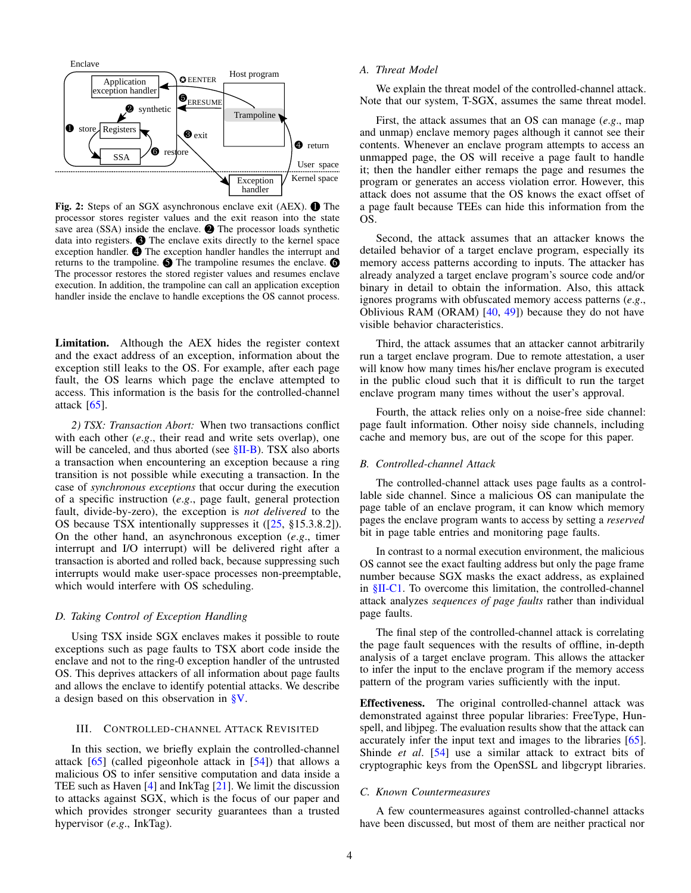<span id="page-3-2"></span>

Fig. 2: Steps of an SGX asynchronous enclave exit (AEX).  $\bullet$  The processor stores register values and the exit reason into the state save area (SSA) inside the enclave.  $\bullet$  The processor loads synthetic data into registers.  $\bigcirc$  The enclave exits directly to the kernel space exception handler.  $\bigcirc$  The exception handler handles the interrupt and returns to the trampoline.  $\bigcirc$  The trampoline resumes the enclave.  $\bigcirc$ The processor restores the stored register values and resumes enclave execution. In addition, the trampoline can call an application exception handler inside the enclave to handle exceptions the OS cannot process.

Limitation. Although the AEX hides the register context and the exact address of an exception, information about the exception still leaks to the OS. For example, after each page fault, the OS learns which page the enclave attempted to access. This information is the basis for the controlled-channel attack  $[65]$ .

<span id="page-3-1"></span>*2) TSX: Transaction Abort:* When two transactions conflict with each other (*e*.*g*., their read and write sets overlap), one will be canceled, and thus aborted (see  $\S$ II-B). TSX also aborts a transaction when encountering an exception because a ring transition is not possible while executing a transaction. In the case of *synchronous exceptions* that occur during the execution of a specific instruction (*e*.*g*., page fault, general protection fault, divide-by-zero), the exception is *not delivered* to the OS because TSX intentionally suppresses it ([\[25,](#page-13-12) §15.3.8.2]). On the other hand, an asynchronous exception (*e*.*g*., timer interrupt and I/O interrupt) will be delivered right after a transaction is aborted and rolled back, because suppressing such interrupts would make user-space processes non-preemptable, which would interfere with OS scheduling.

## *D. Taking Control of Exception Handling*

Using TSX inside SGX enclaves makes it possible to route exceptions such as page faults to TSX abort code inside the enclave and not to the ring-0 exception handler of the untrusted OS. This deprives attackers of all information about page faults and allows the enclave to identify potential attacks. We describe a design based on this observation in [§V.](#page-5-1)

## <span id="page-3-0"></span>III. CONTROLLED-CHANNEL ATTACK REVISITED

In this section, we briefly explain the controlled-channel attack  $[65]$  (called pigeonhole attack in  $[54]$ ) that allows a malicious OS to infer sensitive computation and data inside a TEE such as Haven [\[4\]](#page-13-8) and InkTag [\[21\]](#page-13-17). We limit the discussion to attacks against SGX, which is the focus of our paper and which provides stronger security guarantees than a trusted hypervisor (*e*.*g*., InkTag).

# *A. Threat Model*

We explain the threat model of the controlled-channel attack. Note that our system, T-SGX, assumes the same threat model.

First, the attack assumes that an OS can manage (*e*.*g*., map and unmap) enclave memory pages although it cannot see their contents. Whenever an enclave program attempts to access an unmapped page, the OS will receive a page fault to handle it; then the handler either remaps the page and resumes the program or generates an access violation error. However, this attack does not assume that the OS knows the exact offset of a page fault because TEEs can hide this information from the OS.

Second, the attack assumes that an attacker knows the detailed behavior of a target enclave program, especially its memory access patterns according to inputs. The attacker has already analyzed a target enclave program's source code and/or binary in detail to obtain the information. Also, this attack ignores programs with obfuscated memory access patterns (*e*.*g*., Oblivious RAM (ORAM)  $[40, 49]$  $[40, 49]$  $[40, 49]$ ) because they do not have visible behavior characteristics.

Third, the attack assumes that an attacker cannot arbitrarily run a target enclave program. Due to remote attestation, a user will know how many times his/her enclave program is executed in the public cloud such that it is difficult to run the target enclave program many times without the user's approval.

Fourth, the attack relies only on a noise-free side channel: page fault information. Other noisy side channels, including cache and memory bus, are out of the scope for this paper.

## *B. Controlled-channel Attack*

The controlled-channel attack uses page faults as a controllable side channel. Since a malicious OS can manipulate the page table of an enclave program, it can know which memory pages the enclave program wants to access by setting a *reserved* bit in page table entries and monitoring page faults.

In contrast to a normal execution environment, the malicious OS cannot see the exact faulting address but only the page frame number because SGX masks the exact address, as explained in [§II-C1.](#page-2-4) To overcome this limitation, the controlled-channel attack analyzes *sequences of page faults* rather than individual page faults.

The final step of the controlled-channel attack is correlating the page fault sequences with the results of offline, in-depth analysis of a target enclave program. This allows the attacker to infer the input to the enclave program if the memory access pattern of the program varies sufficiently with the input.

Effectiveness. The original controlled-channel attack was demonstrated against three popular libraries: FreeType, Hunspell, and libjpeg. The evaluation results show that the attack can accurately infer the input text and images to the libraries [\[65\]](#page-14-12). Shinde *et al*. [\[54\]](#page-14-11) use a similar attack to extract bits of cryptographic keys from the OpenSSL and libgcrypt libraries.

## *C. Known Countermeasures*

A few countermeasures against controlled-channel attacks have been discussed, but most of them are neither practical nor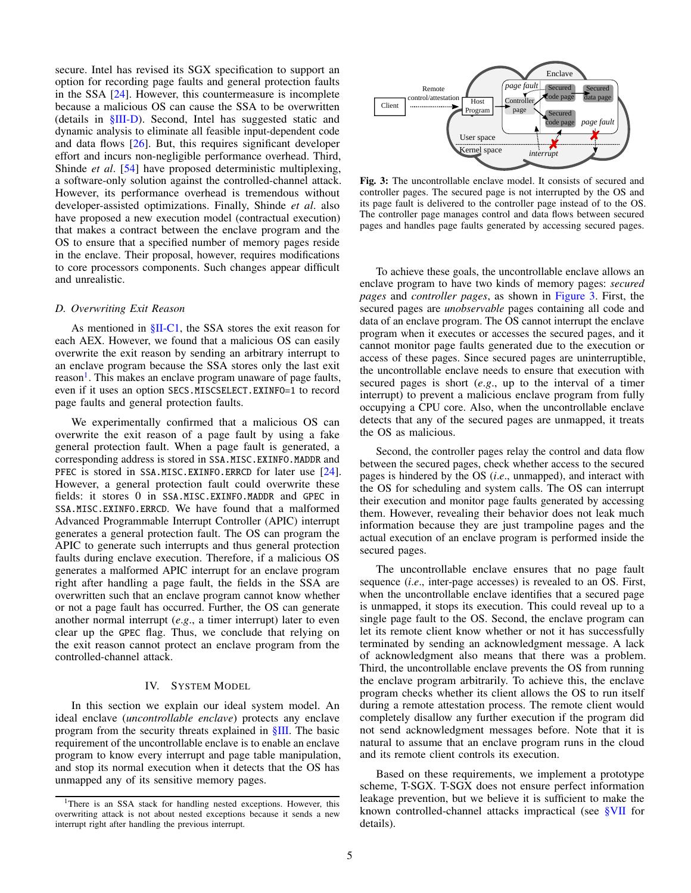secure. Intel has revised its SGX specification to support an option for recording page faults and general protection faults in the SSA [\[24\]](#page-13-3). However, this countermeasure is incomplete because a malicious OS can cause the SSA to be overwritten (details in [§III-D\)](#page-4-1). Second, Intel has suggested static and dynamic analysis to eliminate all feasible input-dependent code and data flows [\[26\]](#page-13-6). But, this requires significant developer effort and incurs non-negligible performance overhead. Third, Shinde *et al*. [\[54\]](#page-14-11) have proposed deterministic multiplexing, a software-only solution against the controlled-channel attack. However, its performance overhead is tremendous without developer-assisted optimizations. Finally, Shinde *et al*. also have proposed a new execution model (contractual execution) that makes a contract between the enclave program and the OS to ensure that a specified number of memory pages reside in the enclave. Their proposal, however, requires modifications to core processors components. Such changes appear difficult and unrealistic.

# <span id="page-4-1"></span>*D. Overwriting Exit Reason*

As mentioned in [§II-C1,](#page-2-4) the SSA stores the exit reason for each AEX. However, we found that a malicious OS can easily overwrite the exit reason by sending an arbitrary interrupt to an enclave program because the SSA stores only the last exit reason<sup>[1](#page-4-2)</sup>. This makes an enclave program unaware of page faults, even if it uses an option SECS.MISCSELECT.EXINFO=1 to record page faults and general protection faults.

We experimentally confirmed that a malicious OS can overwrite the exit reason of a page fault by using a fake general protection fault. When a page fault is generated, a corresponding address is stored in SSA.MISC.EXINFO.MADDR and PFEC is stored in SSA.MISC.EXINFO.ERRCD for later use [\[24\]](#page-13-3). However, a general protection fault could overwrite these fields: it stores 0 in SSA.MISC.EXINFO.MADDR and GPEC in SSA.MISC.EXINFO.ERRCD. We have found that a malformed Advanced Programmable Interrupt Controller (APIC) interrupt generates a general protection fault. The OS can program the APIC to generate such interrupts and thus general protection faults during enclave execution. Therefore, if a malicious OS generates a malformed APIC interrupt for an enclave program right after handling a page fault, the fields in the SSA are overwritten such that an enclave program cannot know whether or not a page fault has occurred. Further, the OS can generate another normal interrupt (*e*.*g*., a timer interrupt) later to even clear up the GPEC flag. Thus, we conclude that relying on the exit reason cannot protect an enclave program from the controlled-channel attack.

## IV. SYSTEM MODEL

<span id="page-4-0"></span>In this section we explain our ideal system model. An ideal enclave (*uncontrollable enclave*) protects any enclave program from the security threats explained in [§III.](#page-3-0) The basic requirement of the uncontrollable enclave is to enable an enclave program to know every interrupt and page table manipulation, and stop its normal execution when it detects that the OS has unmapped any of its sensitive memory pages.

<span id="page-4-3"></span>

Fig. 3: The uncontrollable enclave model. It consists of secured and controller pages. The secured page is not interrupted by the OS and its page fault is delivered to the controller page instead of to the OS. The controller page manages control and data flows between secured pages and handles page faults generated by accessing secured pages.

To achieve these goals, the uncontrollable enclave allows an enclave program to have two kinds of memory pages: *secured pages* and *controller pages*, as shown in [Figure 3.](#page-4-3) First, the secured pages are *unobservable* pages containing all code and data of an enclave program. The OS cannot interrupt the enclave program when it executes or accesses the secured pages, and it cannot monitor page faults generated due to the execution or access of these pages. Since secured pages are uninterruptible, the uncontrollable enclave needs to ensure that execution with secured pages is short (*e*.*g*., up to the interval of a timer interrupt) to prevent a malicious enclave program from fully occupying a CPU core. Also, when the uncontrollable enclave detects that any of the secured pages are unmapped, it treats the OS as malicious.

Second, the controller pages relay the control and data flow between the secured pages, check whether access to the secured pages is hindered by the OS (*i*.*e*., unmapped), and interact with the OS for scheduling and system calls. The OS can interrupt their execution and monitor page faults generated by accessing them. However, revealing their behavior does not leak much information because they are just trampoline pages and the actual execution of an enclave program is performed inside the secured pages.

The uncontrollable enclave ensures that no page fault sequence (*i*.*e*., inter-page accesses) is revealed to an OS. First, when the uncontrollable enclave identifies that a secured page is unmapped, it stops its execution. This could reveal up to a single page fault to the OS. Second, the enclave program can let its remote client know whether or not it has successfully terminated by sending an acknowledgment message. A lack of acknowledgment also means that there was a problem. Third, the uncontrollable enclave prevents the OS from running the enclave program arbitrarily. To achieve this, the enclave program checks whether its client allows the OS to run itself during a remote attestation process. The remote client would completely disallow any further execution if the program did not send acknowledgment messages before. Note that it is natural to assume that an enclave program runs in the cloud and its remote client controls its execution.

Based on these requirements, we implement a prototype scheme, T-SGX. T-SGX does not ensure perfect information leakage prevention, but we believe it is sufficient to make the known controlled-channel attacks impractical (see [§VII](#page-8-0) for details).

<span id="page-4-2"></span><sup>&</sup>lt;sup>1</sup>There is an SSA stack for handling nested exceptions. However, this overwriting attack is not about nested exceptions because it sends a new interrupt right after handling the previous interrupt.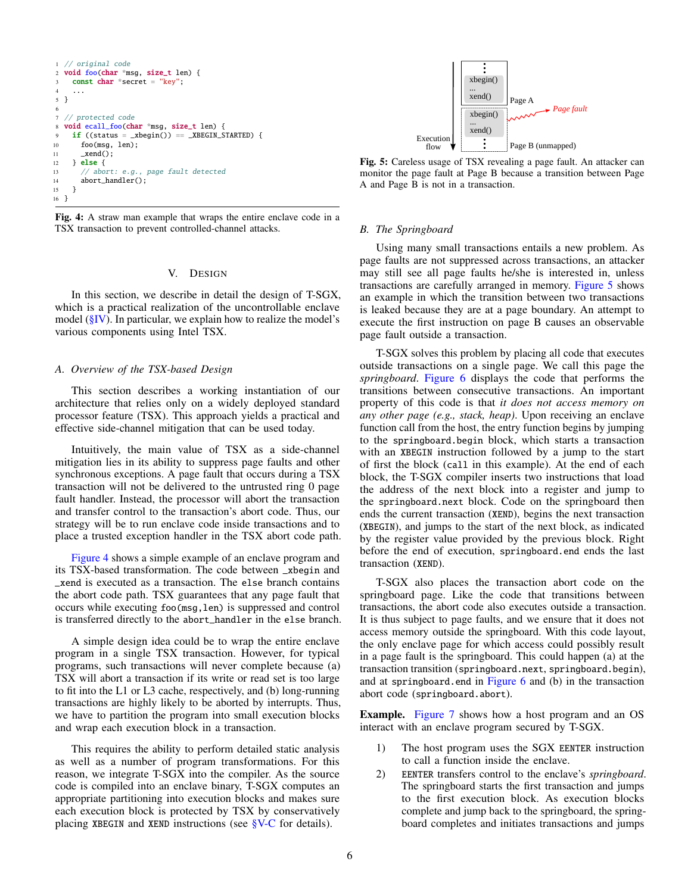```
1 // original code
2 void foo(char *msg, size_t len) {
    const char *secret = "key";
4 ...
5 }
6
7 // protected code
8 void ecall_foo(char *msg, size_t len) {
9 if ((status = _xbegin() == _xBEGIN_STARTED) {
10 foo(msg, len);
11 _xend();
12 } else {
13 // abort: e.g., page fault detected
14 abort_handler();
15 }
16 }
```
Fig. 4: A straw man example that wraps the entire enclave code in a TSX transaction to prevent controlled-channel attacks.

# V. DESIGN

<span id="page-5-1"></span>In this section, we describe in detail the design of T-SGX, which is a practical realization of the uncontrollable enclave model  $(\S$ IV). In particular, we explain how to realize the model's various components using Intel TSX.

## *A. Overview of the TSX-based Design*

This section describes a working instantiation of our architecture that relies only on a widely deployed standard processor feature (TSX). This approach yields a practical and effective side-channel mitigation that can be used today.

Intuitively, the main value of TSX as a side-channel mitigation lies in its ability to suppress page faults and other synchronous exceptions. A page fault that occurs during a TSX transaction will not be delivered to the untrusted ring 0 page fault handler. Instead, the processor will abort the transaction and transfer control to the transaction's abort code. Thus, our strategy will be to run enclave code inside transactions and to place a trusted exception handler in the TSX abort code path.

[Figure 4](#page-5-2) shows a simple example of an enclave program and its TSX-based transformation. The code between \_xbegin and \_xend is executed as a transaction. The else branch contains the abort code path. TSX guarantees that any page fault that occurs while executing foo(msg,len) is suppressed and control is transferred directly to the abort\_handler in the else branch.

A simple design idea could be to wrap the entire enclave program in a single TSX transaction. However, for typical programs, such transactions will never complete because (a) TSX will abort a transaction if its write or read set is too large to fit into the L1 or L3 cache, respectively, and (b) long-running transactions are highly likely to be aborted by interrupts. Thus, we have to partition the program into small execution blocks and wrap each execution block in a transaction.

This requires the ability to perform detailed static analysis as well as a number of program transformations. For this reason, we integrate T-SGX into the compiler. As the source code is compiled into an enclave binary, T-SGX computes an appropriate partitioning into execution blocks and makes sure each execution block is protected by TSX by conservatively placing XBEGIN and XEND instructions (see  $V-C$  for details).

<span id="page-5-3"></span>

Fig. 5: Careless usage of TSX revealing a page fault. An attacker can monitor the page fault at Page B because a transition between Page A and Page B is not in a transaction.

# <span id="page-5-0"></span>*B. The Springboard*

Using many small transactions entails a new problem. As page faults are not suppressed across transactions, an attacker may still see all page faults he/she is interested in, unless transactions are carefully arranged in memory. [Figure 5](#page-5-3) shows an example in which the transition between two transactions is leaked because they are at a page boundary. An attempt to execute the first instruction on page B causes an observable page fault outside a transaction.

T-SGX solves this problem by placing all code that executes outside transactions on a single page. We call this page the *springboard*. [Figure 6](#page-6-1) displays the code that performs the transitions between consecutive transactions. An important property of this code is that *it does not access memory on any other page (e.g., stack, heap)*. Upon receiving an enclave function call from the host, the entry function begins by jumping to the springboard.begin block, which starts a transaction with an XBEGIN instruction followed by a jump to the start of first the block (call in this example). At the end of each block, the T-SGX compiler inserts two instructions that load the address of the next block into a register and jump to the springboard.next block. Code on the springboard then ends the current transaction (XEND), begins the next transaction (XBEGIN), and jumps to the start of the next block, as indicated by the register value provided by the previous block. Right before the end of execution, springboard.end ends the last transaction (XEND).

T-SGX also places the transaction abort code on the springboard page. Like the code that transitions between transactions, the abort code also executes outside a transaction. It is thus subject to page faults, and we ensure that it does not access memory outside the springboard. With this code layout, the only enclave page for which access could possibly result in a page fault is the springboard. This could happen (a) at the transaction transition (springboard.next, springboard.begin), and at springboard.end in Figure  $6$  and  $(b)$  in the transaction abort code (springboard.abort).

**Example.** [Figure 7](#page-6-2) shows how a host program and an OS interact with an enclave program secured by T-SGX.

- 1) The host program uses the SGX EENTER instruction to call a function inside the enclave.
- 2) EENTER transfers control to the enclave's *springboard*. The springboard starts the first transaction and jumps to the first execution block. As execution blocks complete and jump back to the springboard, the springboard completes and initiates transactions and jumps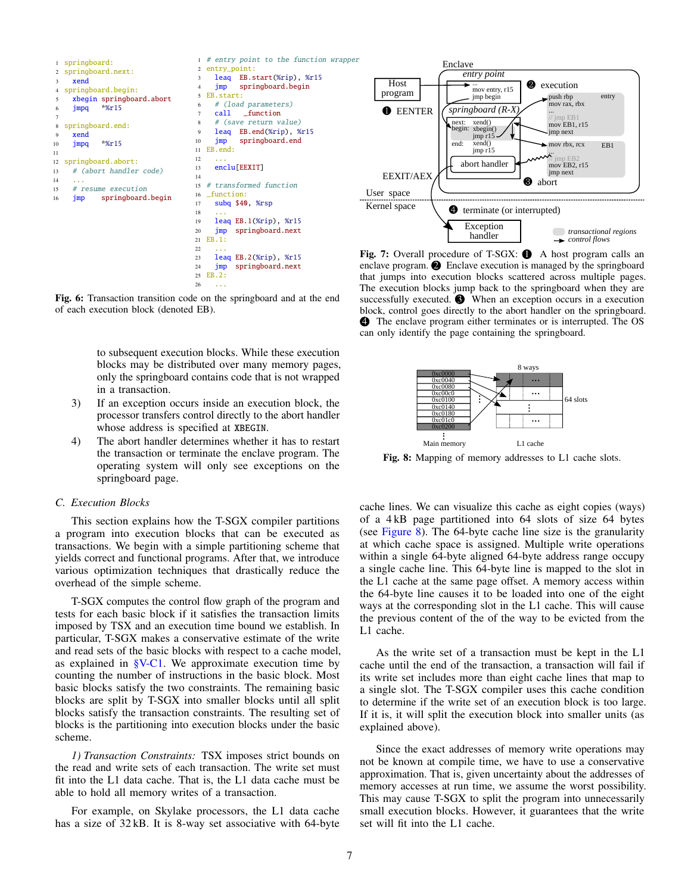<span id="page-6-1"></span>

Fig. 6: Transaction transition code on the springboard and at the end of each execution block (denoted EB).

to subsequent execution blocks. While these execution blocks may be distributed over many memory pages, only the springboard contains code that is not wrapped in a transaction.

- 3) If an exception occurs inside an execution block, the processor transfers control directly to the abort handler whose address is specified at XBEGIN.
- 4) The abort handler determines whether it has to restart the transaction or terminate the enclave program. The operating system will only see exceptions on the springboard page.

## <span id="page-6-0"></span>*C. Execution Blocks*

This section explains how the T-SGX compiler partitions a program into execution blocks that can be executed as transactions. We begin with a simple partitioning scheme that yields correct and functional programs. After that, we introduce various optimization techniques that drastically reduce the overhead of the simple scheme.

T-SGX computes the control flow graph of the program and tests for each basic block if it satisfies the transaction limits imposed by TSX and an execution time bound we establish. In particular, T-SGX makes a conservative estimate of the write and read sets of the basic blocks with respect to a cache model, as explained in  $V-C1$ . We approximate execution time by counting the number of instructions in the basic block. Most basic blocks satisfy the two constraints. The remaining basic blocks are split by T-SGX into smaller blocks until all split blocks satisfy the transaction constraints. The resulting set of blocks is the partitioning into execution blocks under the basic scheme.

<span id="page-6-3"></span>*1) Transaction Constraints:* TSX imposes strict bounds on the read and write sets of each transaction. The write set must fit into the L1 data cache. That is, the L1 data cache must be able to hold all memory writes of a transaction.

For example, on Skylake processors, the L1 data cache has a size of  $32$  kB. It is 8-way set associative with 64-byte

<span id="page-6-2"></span>

Fig. 7: Overall procedure of T-SGX:  $\bullet$  A host program calls an enclave program.  $\bullet$  Enclave execution is managed by the springboard that jumps into execution blocks scattered across multiple pages. The execution blocks jump back to the springboard when they are successfully executed.  $\bullet$  When an exception occurs in a execution block, control goes directly to the abort handler on the springboard. 4 The enclave program either terminates or is interrupted. The OS can only identify the page containing the springboard.

<span id="page-6-4"></span>

Fig. 8: Mapping of memory addresses to L1 cache slots.

cache lines. We can visualize this cache as eight copies (ways) of a 4 kB page partitioned into 64 slots of size 64 bytes (see [Figure 8\)](#page-6-4). The 64-byte cache line size is the granularity at which cache space is assigned. Multiple write operations within a single 64-byte aligned 64-byte address range occupy a single cache line. This 64-byte line is mapped to the slot in the L1 cache at the same page offset. A memory access within the 64-byte line causes it to be loaded into one of the eight ways at the corresponding slot in the L1 cache. This will cause the previous content of the of the way to be evicted from the L1 cache.

As the write set of a transaction must be kept in the L1 cache until the end of the transaction, a transaction will fail if its write set includes more than eight cache lines that map to a single slot. The T-SGX compiler uses this cache condition to determine if the write set of an execution block is too large. If it is, it will split the execution block into smaller units (as explained above).

Since the exact addresses of memory write operations may not be known at compile time, we have to use a conservative approximation. That is, given uncertainty about the addresses of memory accesses at run time, we assume the worst possibility. This may cause T-SGX to split the program into unnecessarily small execution blocks. However, it guarantees that the write set will fit into the L1 cache.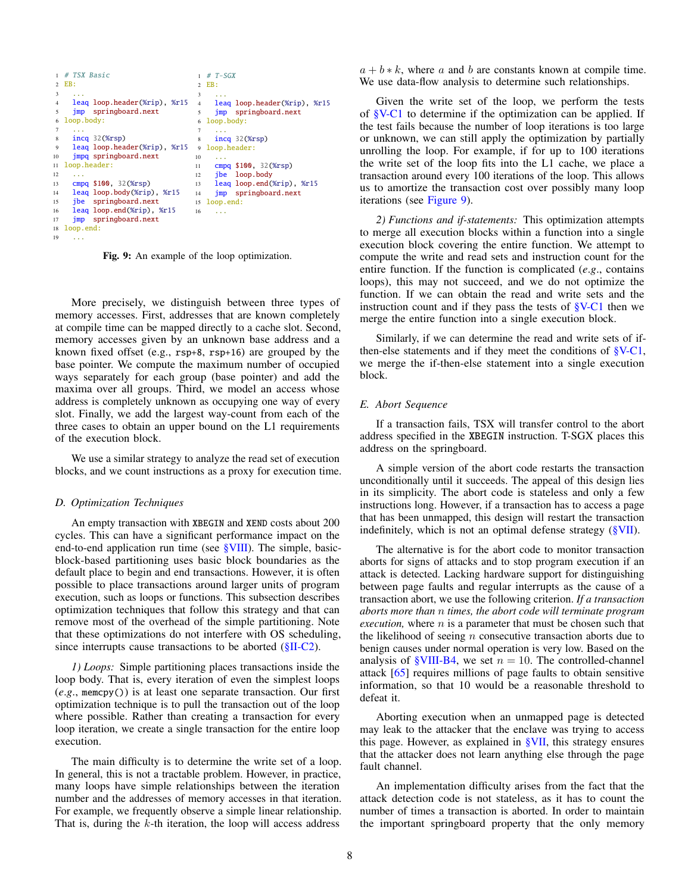```
1 # TSX Basic
2 EB:
 3 \ldots4 leaq loop.header(%rip), %r15
5 jmp springboard.next
 6 loop.body:
7 ...
8 incq 32(%rsp)
 9 leaq loop.header(%rip), %r15
9 loop.header:
10 jmpq springboard.next
11 loop.header:
12
13 cmpq $100, 32(%rsp)
14 leaq loop.body(%rip), %r15
15 jbe springboard.next
16 leaq loop.end(%rip), %r15
17 jmp springboard.next
18 loop.end:
19 ...
                                    T - SGX2 EB:
                                    3 ...
                                        leaq loop.header(%rip), %r15
                                    5 jmp springboard.next
                                    6 loop.body:
                                     7 ...
                                        incq 32(%rsp)
                                   \begin{array}{c} 10 \\ 11 \end{array}cmpq $100, 32(%rsp)
                                    12 jbe loop.body
                                    13 leaq loop.end(%rip), %r15
                                    14 jmp springboard.next
                                    15 loop.end:
                                    16 \quad . . .
```
Fig. 9: An example of the loop optimization.

More precisely, we distinguish between three types of memory accesses. First, addresses that are known completely at compile time can be mapped directly to a cache slot. Second, memory accesses given by an unknown base address and a known fixed offset (e.g., rsp+8, rsp+16) are grouped by the base pointer. We compute the maximum number of occupied ways separately for each group (base pointer) and add the maxima over all groups. Third, we model an access whose address is completely unknown as occupying one way of every slot. Finally, we add the largest way-count from each of the three cases to obtain an upper bound on the L1 requirements of the execution block.

We use a similar strategy to analyze the read set of execution blocks, and we count instructions as a proxy for execution time.

#### <span id="page-7-2"></span>*D. Optimization Techniques*

An empty transaction with XBEGIN and XEND costs about 200 cycles. This can have a significant performance impact on the end-to-end application run time (see [§VIII\)](#page-9-0). The simple, basicblock-based partitioning uses basic block boundaries as the default place to begin and end transactions. However, it is often possible to place transactions around larger units of program execution, such as loops or functions. This subsection describes optimization techniques that follow this strategy and that can remove most of the overhead of the simple partitioning. Note that these optimizations do not interfere with OS scheduling, since interrupts cause transactions to be aborted  $(\{II-C2\})$ .

*1) Loops:* Simple partitioning places transactions inside the loop body. That is, every iteration of even the simplest loops (*e*.*g*., memcpy()) is at least one separate transaction. Our first optimization technique is to pull the transaction out of the loop where possible. Rather than creating a transaction for every loop iteration, we create a single transaction for the entire loop execution.

The main difficulty is to determine the write set of a loop. In general, this is not a tractable problem. However, in practice, many loops have simple relationships between the iteration number and the addresses of memory accesses in that iteration. For example, we frequently observe a simple linear relationship. That is, during the  $k$ -th iteration, the loop will access address

 $a + b * k$ , where a and b are constants known at compile time. We use data-flow analysis to determine such relationships.

Given the write set of the loop, we perform the tests of [§V-C1](#page-6-3) to determine if the optimization can be applied. If the test fails because the number of loop iterations is too large or unknown, we can still apply the optimization by partially unrolling the loop. For example, if for up to 100 iterations the write set of the loop fits into the L1 cache, we place a transaction around every 100 iterations of the loop. This allows us to amortize the transaction cost over possibly many loop iterations (see [Figure 9\)](#page-7-0).

*2) Functions and if-statements:* This optimization attempts to merge all execution blocks within a function into a single execution block covering the entire function. We attempt to compute the write and read sets and instruction count for the entire function. If the function is complicated (*e*.*g*., contains loops), this may not succeed, and we do not optimize the function. If we can obtain the read and write sets and the instruction count and if they pass the tests of  $V-C1$  then we merge the entire function into a single execution block.

Similarly, if we can determine the read and write sets of ifthen-else statements and if they meet the conditions of [§V-C1,](#page-6-3) we merge the if-then-else statement into a single execution block.

#### <span id="page-7-1"></span>*E. Abort Sequence*

If a transaction fails, TSX will transfer control to the abort address specified in the XBEGIN instruction. T-SGX places this address on the springboard.

A simple version of the abort code restarts the transaction unconditionally until it succeeds. The appeal of this design lies in its simplicity. The abort code is stateless and only a few instructions long. However, if a transaction has to access a page that has been unmapped, this design will restart the transaction indefinitely, which is not an optimal defense strategy [\(§VII\)](#page-8-0).

The alternative is for the abort code to monitor transaction aborts for signs of attacks and to stop program execution if an attack is detected. Lacking hardware support for distinguishing between page faults and regular interrupts as the cause of a transaction abort, we use the following criterion. *If a transaction aborts more than* n *times, the abort code will terminate program execution*, where  $n$  is a parameter that must be chosen such that the likelihood of seeing  $n$  consecutive transaction aborts due to benign causes under normal operation is very low. Based on the analysis of  $\gamma$ VIII-B4, we set  $n = 10$ . The controlled-channel attack [\[65\]](#page-14-12) requires millions of page faults to obtain sensitive information, so that 10 would be a reasonable threshold to defeat it.

Aborting execution when an unmapped page is detected may leak to the attacker that the enclave was trying to access this page. However, as explained in [§VII,](#page-8-0) this strategy ensures that the attacker does not learn anything else through the page fault channel.

An implementation difficulty arises from the fact that the attack detection code is not stateless, as it has to count the number of times a transaction is aborted. In order to maintain the important springboard property that the only memory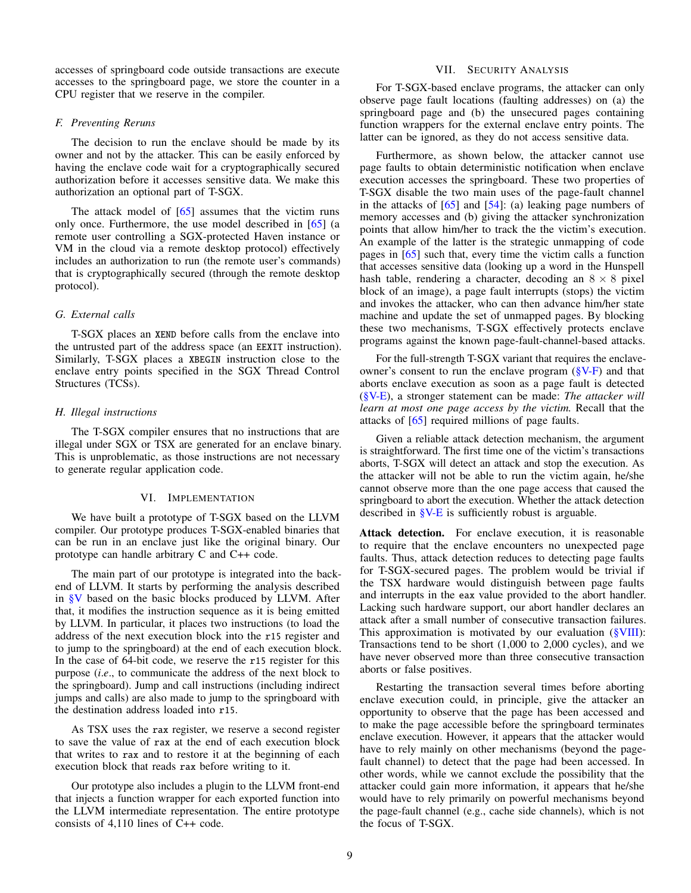accesses of springboard code outside transactions are execute accesses to the springboard page, we store the counter in a CPU register that we reserve in the compiler.

## <span id="page-8-2"></span>*F. Preventing Reruns*

The decision to run the enclave should be made by its owner and not by the attacker. This can be easily enforced by having the enclave code wait for a cryptographically secured authorization before it accesses sensitive data. We make this authorization an optional part of T-SGX.

The attack model of  $[65]$  assumes that the victim runs only once. Furthermore, the use model described in [\[65\]](#page-14-12) (a remote user controlling a SGX-protected Haven instance or VM in the cloud via a remote desktop protocol) effectively includes an authorization to run (the remote user's commands) that is cryptographically secured (through the remote desktop protocol).

# *G. External calls*

T-SGX places an XEND before calls from the enclave into the untrusted part of the address space (an EEXIT instruction). Similarly, T-SGX places a XBEGIN instruction close to the enclave entry points specified in the SGX Thread Control Structures (TCSs).

## *H. Illegal instructions*

The T-SGX compiler ensures that no instructions that are illegal under SGX or TSX are generated for an enclave binary. This is unproblematic, as those instructions are not necessary to generate regular application code.

## VI. IMPLEMENTATION

<span id="page-8-1"></span>We have built a prototype of T-SGX based on the LLVM compiler. Our prototype produces T-SGX-enabled binaries that can be run in an enclave just like the original binary. Our prototype can handle arbitrary C and C++ code.

The main part of our prototype is integrated into the backend of LLVM. It starts by performing the analysis described in [§V](#page-5-1) based on the basic blocks produced by LLVM. After that, it modifies the instruction sequence as it is being emitted by LLVM. In particular, it places two instructions (to load the address of the next execution block into the r15 register and to jump to the springboard) at the end of each execution block. In the case of 64-bit code, we reserve the r15 register for this purpose (*i*.*e*., to communicate the address of the next block to the springboard). Jump and call instructions (including indirect jumps and calls) are also made to jump to the springboard with the destination address loaded into r15.

As TSX uses the rax register, we reserve a second register to save the value of rax at the end of each execution block that writes to rax and to restore it at the beginning of each execution block that reads rax before writing to it.

Our prototype also includes a plugin to the LLVM front-end that injects a function wrapper for each exported function into the LLVM intermediate representation. The entire prototype consists of 4,110 lines of C++ code.

# VII. SECURITY ANALYSIS

<span id="page-8-0"></span>For T-SGX-based enclave programs, the attacker can only observe page fault locations (faulting addresses) on (a) the springboard page and (b) the unsecured pages containing function wrappers for the external enclave entry points. The latter can be ignored, as they do not access sensitive data.

Furthermore, as shown below, the attacker cannot use page faults to obtain deterministic notification when enclave execution accesses the springboard. These two properties of T-SGX disable the two main uses of the page-fault channel in the attacks of  $[65]$  and  $[54]$ : (a) leaking page numbers of memory accesses and (b) giving the attacker synchronization points that allow him/her to track the the victim's execution. An example of the latter is the strategic unmapping of code pages in [\[65\]](#page-14-12) such that, every time the victim calls a function that accesses sensitive data (looking up a word in the Hunspell hash table, rendering a character, decoding an  $8 \times 8$  pixel block of an image), a page fault interrupts (stops) the victim and invokes the attacker, who can then advance him/her state machine and update the set of unmapped pages. By blocking these two mechanisms, T-SGX effectively protects enclave programs against the known page-fault-channel-based attacks.

For the full-strength T-SGX variant that requires the enclaveowner's consent to run the enclave program [\(§V-F\)](#page-8-2) and that aborts enclave execution as soon as a page fault is detected [\(§V-E\)](#page-7-1), a stronger statement can be made: *The attacker will learn at most one page access by the victim.* Recall that the attacks of [\[65\]](#page-14-12) required millions of page faults.

Given a reliable attack detection mechanism, the argument is straightforward. The first time one of the victim's transactions aborts, T-SGX will detect an attack and stop the execution. As the attacker will not be able to run the victim again, he/she cannot observe more than the one page access that caused the springboard to abort the execution. Whether the attack detection described in [§V-E](#page-7-1) is sufficiently robust is arguable.

Attack detection. For enclave execution, it is reasonable to require that the enclave encounters no unexpected page faults. Thus, attack detection reduces to detecting page faults for T-SGX-secured pages. The problem would be trivial if the TSX hardware would distinguish between page faults and interrupts in the eax value provided to the abort handler. Lacking such hardware support, our abort handler declares an attack after a small number of consecutive transaction failures. This approximation is motivated by our evaluation [\(§VIII\)](#page-9-0): Transactions tend to be short (1,000 to 2,000 cycles), and we have never observed more than three consecutive transaction aborts or false positives.

Restarting the transaction several times before aborting enclave execution could, in principle, give the attacker an opportunity to observe that the page has been accessed and to make the page accessible before the springboard terminates enclave execution. However, it appears that the attacker would have to rely mainly on other mechanisms (beyond the pagefault channel) to detect that the page had been accessed. In other words, while we cannot exclude the possibility that the attacker could gain more information, it appears that he/she would have to rely primarily on powerful mechanisms beyond the page-fault channel (e.g., cache side channels), which is not the focus of T-SGX.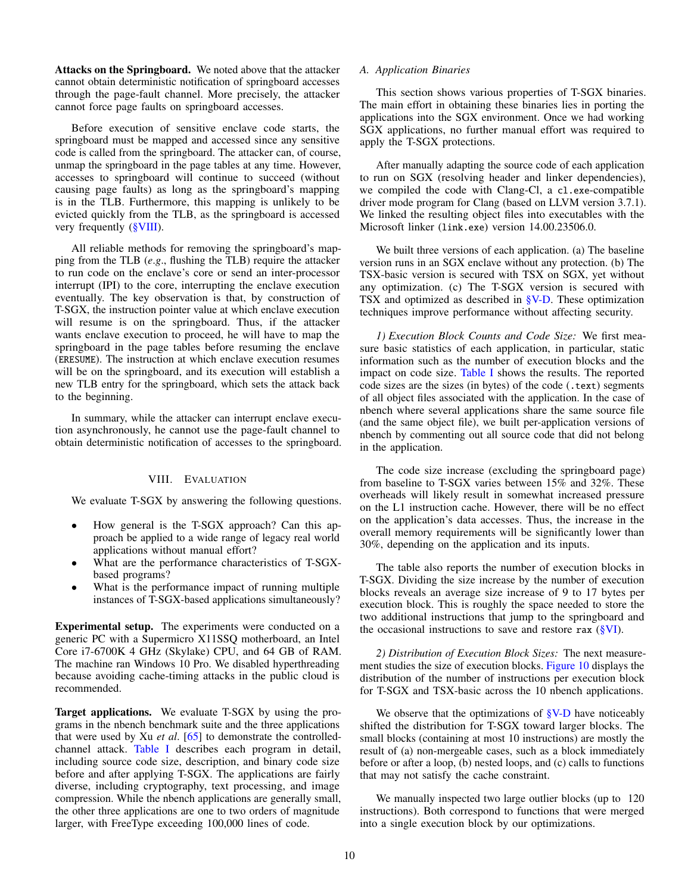Attacks on the Springboard. We noted above that the attacker cannot obtain deterministic notification of springboard accesses through the page-fault channel. More precisely, the attacker cannot force page faults on springboard accesses.

Before execution of sensitive enclave code starts, the springboard must be mapped and accessed since any sensitive code is called from the springboard. The attacker can, of course, unmap the springboard in the page tables at any time. However, accesses to springboard will continue to succeed (without causing page faults) as long as the springboard's mapping is in the TLB. Furthermore, this mapping is unlikely to be evicted quickly from the TLB, as the springboard is accessed very frequently [\(§VIII\)](#page-9-0).

All reliable methods for removing the springboard's mapping from the TLB (*e*.*g*., flushing the TLB) require the attacker to run code on the enclave's core or send an inter-processor interrupt (IPI) to the core, interrupting the enclave execution eventually. The key observation is that, by construction of T-SGX, the instruction pointer value at which enclave execution will resume is on the springboard. Thus, if the attacker wants enclave execution to proceed, he will have to map the springboard in the page tables before resuming the enclave (ERESUME). The instruction at which enclave execution resumes will be on the springboard, and its execution will establish a new TLB entry for the springboard, which sets the attack back to the beginning.

In summary, while the attacker can interrupt enclave execution asynchronously, he cannot use the page-fault channel to obtain deterministic notification of accesses to the springboard.

## VIII. EVALUATION

<span id="page-9-0"></span>We evaluate T-SGX by answering the following questions.

- How general is the T-SGX approach? Can this approach be applied to a wide range of legacy real world applications without manual effort?
- What are the performance characteristics of T-SGXbased programs?
- What is the performance impact of running multiple instances of T-SGX-based applications simultaneously?

Experimental setup. The experiments were conducted on a generic PC with a Supermicro X11SSQ motherboard, an Intel Core i7-6700K 4 GHz (Skylake) CPU, and 64 GB of RAM. The machine ran Windows 10 Pro. We disabled hyperthreading because avoiding cache-timing attacks in the public cloud is recommended.

Target applications. We evaluate T-SGX by using the programs in the nbench benchmark suite and the three applications that were used by Xu *et al*. [\[65\]](#page-14-12) to demonstrate the controlledchannel attack. [Table I](#page-10-0) describes each program in detail, including source code size, description, and binary code size before and after applying T-SGX. The applications are fairly diverse, including cryptography, text processing, and image compression. While the nbench applications are generally small, the other three applications are one to two orders of magnitude larger, with FreeType exceeding 100,000 lines of code.

## *A. Application Binaries*

This section shows various properties of T-SGX binaries. The main effort in obtaining these binaries lies in porting the applications into the SGX environment. Once we had working SGX applications, no further manual effort was required to apply the T-SGX protections.

After manually adapting the source code of each application to run on SGX (resolving header and linker dependencies), we compiled the code with Clang-Cl, a cl.exe-compatible driver mode program for Clang (based on LLVM version 3.7.1). We linked the resulting object files into executables with the Microsoft linker (link.exe) version 14.00.23506.0.

We built three versions of each application. (a) The baseline version runs in an SGX enclave without any protection. (b) The TSX-basic version is secured with TSX on SGX, yet without any optimization. (c) The T-SGX version is secured with TSX and optimized as described in [§V-D.](#page-7-2) These optimization techniques improve performance without affecting security.

*1) Execution Block Counts and Code Size:* We first measure basic statistics of each application, in particular, static information such as the number of execution blocks and the impact on code size. [Table I](#page-10-0) shows the results. The reported code sizes are the sizes (in bytes) of the code (.text) segments of all object files associated with the application. In the case of nbench where several applications share the same source file (and the same object file), we built per-application versions of nbench by commenting out all source code that did not belong in the application.

The code size increase (excluding the springboard page) from baseline to T-SGX varies between 15% and 32%. These overheads will likely result in somewhat increased pressure on the L1 instruction cache. However, there will be no effect on the application's data accesses. Thus, the increase in the overall memory requirements will be significantly lower than 30%, depending on the application and its inputs.

The table also reports the number of execution blocks in T-SGX. Dividing the size increase by the number of execution blocks reveals an average size increase of 9 to 17 bytes per execution block. This is roughly the space needed to store the two additional instructions that jump to the springboard and the occasional instructions to save and restore rax  $(\frac{8}{1})$ .

*2) Distribution of Execution Block Sizes:* The next measurement studies the size of execution blocks. [Figure 10](#page-10-1) displays the distribution of the number of instructions per execution block for T-SGX and TSX-basic across the 10 nbench applications.

We observe that the optimizations of  $\frac{S}{V}$ -D have noticeably shifted the distribution for T-SGX toward larger blocks. The small blocks (containing at most 10 instructions) are mostly the result of (a) non-mergeable cases, such as a block immediately before or after a loop, (b) nested loops, and (c) calls to functions that may not satisfy the cache constraint.

We manually inspected two large outlier blocks (up to 120 instructions). Both correspond to functions that were merged into a single execution block by our optimizations.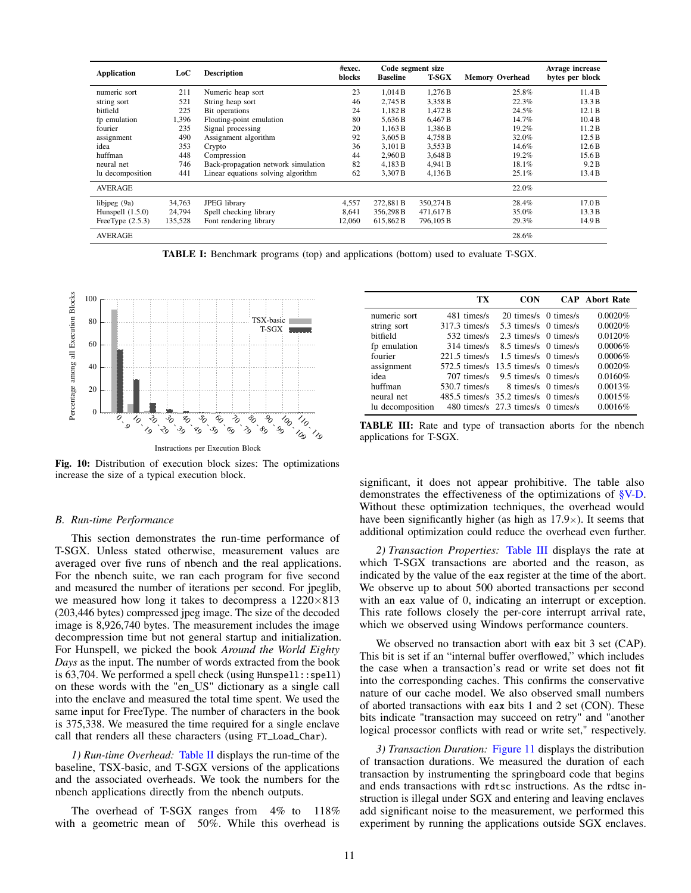<span id="page-10-0"></span>

| <b>Application</b> | LoC     | <b>Description</b>                  | #exec.<br>blocks | <b>Baseline</b> | Code segment size<br><b>T-SGX</b> | <b>Memory Overhead</b> | Avrage increase<br>bytes per block |
|--------------------|---------|-------------------------------------|------------------|-----------------|-----------------------------------|------------------------|------------------------------------|
| numeric sort       | 211     | Numeric heap sort                   | 23               | 1.014B          | 1.276 B                           | 25.8%                  | 11.4B                              |
| string sort        | 521     | String heap sort                    | 46               | 2,745 B         | 3,358 B                           | 22.3%                  | 13.3 B                             |
| bitfield           | 225     | Bit operations                      | 24               | 1.182 B         | 1.472 B                           | 24.5%                  | 12.1 B                             |
| fp emulation       | 1,396   | Floating-point emulation            | 80               | 5.636 B         | 6.467 <sub>B</sub>                | 14.7%                  | 10.4B                              |
| fourier            | 235     | Signal processing                   | 20               | 1.163 B         | 1,386 B                           | 19.2%                  | 11.2B                              |
| assignment         | 490     | Assignment algorithm                | 92               | 3,605 B         | 4,758 B                           | 32.0%                  | 12.5B                              |
| idea               | 353     | Crypto                              | 36               | 3.101 B         | 3,553 B                           | 14.6%                  | 12.6B                              |
| huffman            | 448     | Compression                         | 44               | 2,960 B         | 3,648 B                           | 19.2%                  | 15.6 <sub>B</sub>                  |
| neural net         | 746     | Back-propagation network simulation | 82               | 4,183 B         | 4.941 B                           | 18.1%                  | 9.2 B                              |
| lu decomposition   | 441     | Linear equations solving algorithm  | 62               | 3.307 B         | 4,136 B                           | 25.1%                  | 13.4 B                             |
| <b>AVERAGE</b>     |         |                                     |                  |                 |                                   | 22.0%                  |                                    |
| libjpeg (9a)       | 34,763  | <b>JPEG</b> library                 | 4,557            | 272,881 B       | 350,274 B                         | 28.4%                  | 17.0B                              |
| Hunspell $(1.5.0)$ | 24,794  | Spell checking library              | 8.641            | 356.298 B       | 471.617B                          | 35.0%                  | 13.3 B                             |
| FreeType $(2.5.3)$ | 135,528 | Font rendering library              | 12,060           | 615,862 B       | 796,105 B                         | 29.3%                  | 14.9 B                             |
| <b>AVERAGE</b>     |         |                                     |                  |                 |                                   | 28.6%                  |                                    |

TABLE I: Benchmark programs (top) and applications (bottom) used to evaluate T-SGX.

<span id="page-10-1"></span>

Fig. 10: Distribution of execution block sizes: The optimizations increase the size of a typical execution block.

## *B. Run-time Performance*

This section demonstrates the run-time performance of T-SGX. Unless stated otherwise, measurement values are averaged over five runs of nbench and the real applications. For the nbench suite, we ran each program for five second and measured the number of iterations per second. For jpeglib, we measured how long it takes to decompress a  $1220\times813$ (203,446 bytes) compressed jpeg image. The size of the decoded image is 8,926,740 bytes. The measurement includes the image decompression time but not general startup and initialization. For Hunspell, we picked the book *Around the World Eighty Days* as the input. The number of words extracted from the book is 63,704. We performed a spell check (using Hunspell::spell) on these words with the "en\_US" dictionary as a single call into the enclave and measured the total time spent. We used the same input for FreeType. The number of characters in the book is 375,338. We measured the time required for a single enclave call that renders all these characters (using FT\_Load\_Char).

*1) Run-time Overhead:* [Table II](#page-11-2) displays the run-time of the baseline, TSX-basic, and T-SGX versions of the applications and the associated overheads. We took the numbers for the nbench applications directly from the nbench outputs.

The overhead of T-SGX ranges from 4% to 118% with a geometric mean of 50%. While this overhead is

<span id="page-10-2"></span>

|                  | TX                                   | <b>CON</b>                         |                     | <b>CAP</b> Abort Rate |
|------------------|--------------------------------------|------------------------------------|---------------------|-----------------------|
| numeric sort     | 481 times/s                          | 20 times/s 0 times/s               |                     | 0.0020%               |
| string sort      | $317.3 \text{ times/s}$              | 5.3 times/s 0 times/s              |                     | 0.0020%               |
| bitfield         | 532 times/s                          | 2.3 times/s 0 times/s              |                     | 0.0120%               |
| fp emulation     | 314 times/s                          | 8.5 times/s 0 times/s              |                     | 0.0006%               |
| fourier          | $221.5 \text{ times/s}$              | 1.5 times/s 0 times/s              |                     | 0.0006%               |
| assignment       | $572.5 \text{ times/s}$              | 13.5 times/s 0 times/s             |                     | 0.0020%               |
| idea             | 707 times/s                          | 9.5 times/s 0 times/s              |                     | 0.0160%               |
| huffman          | $530.7 \text{ times/s}$              |                                    | 8 times/s 0 times/s | 0.0013%               |
| neural net       | 485.5 times/s 35.2 times/s 0 times/s |                                    |                     | 0.0015%               |
| lu decomposition |                                      | 480 times/s 27.3 times/s 0 times/s |                     | 0.0016%               |

TABLE III: Rate and type of transaction aborts for the nbench applications for T-SGX.

significant, it does not appear prohibitive. The table also demonstrates the effectiveness of the optimizations of [§V-D.](#page-7-2) Without these optimization techniques, the overhead would have been significantly higher (as high as  $17.9\times$ ). It seems that additional optimization could reduce the overhead even further.

*2) Transaction Properties:* [Table III](#page-10-2) displays the rate at which T-SGX transactions are aborted and the reason, as indicated by the value of the eax register at the time of the abort. We observe up to about 500 aborted transactions per second with an eax value of 0, indicating an interrupt or exception. This rate follows closely the per-core interrupt arrival rate, which we observed using Windows performance counters.

We observed no transaction abort with eax bit 3 set (CAP). This bit is set if an "internal buffer overflowed," which includes the case when a transaction's read or write set does not fit into the corresponding caches. This confirms the conservative nature of our cache model. We also observed small numbers of aborted transactions with eax bits 1 and 2 set (CON). These bits indicate "transaction may succeed on retry" and "another logical processor conflicts with read or write set," respectively.

*3) Transaction Duration:* [Figure 11](#page-11-3) displays the distribution of transaction durations. We measured the duration of each transaction by instrumenting the springboard code that begins and ends transactions with rdtsc instructions. As the rdtsc instruction is illegal under SGX and entering and leaving enclaves add significant noise to the measurement, we performed this experiment by running the applications outside SGX enclaves.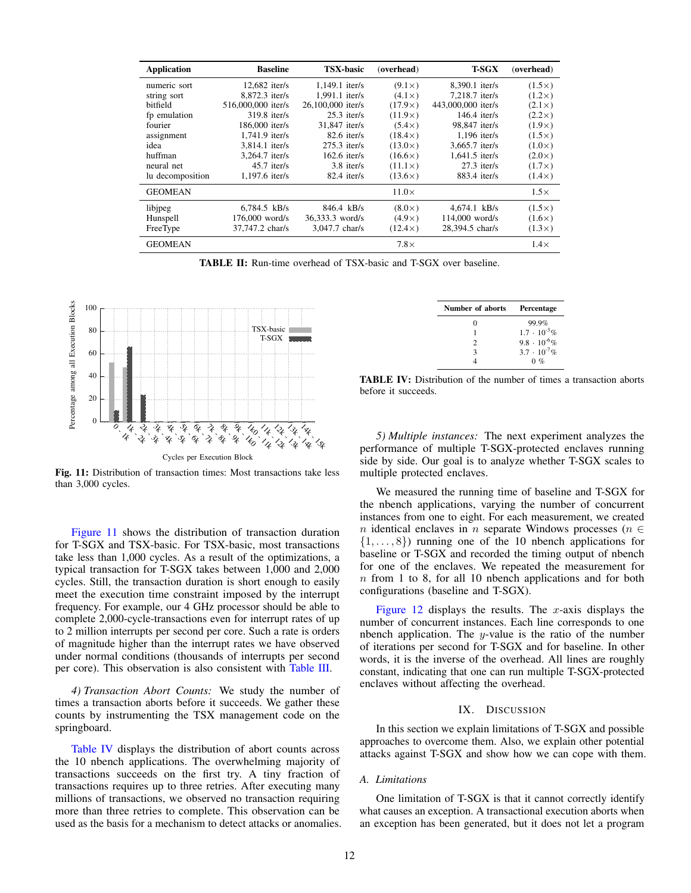<span id="page-11-2"></span>

| <b>Application</b> | <b>Baseline</b>    | <b>TSX-basic</b>  | (overhead)     | <b>T-SGX</b>       | (overhead)    |
|--------------------|--------------------|-------------------|----------------|--------------------|---------------|
| numeric sort       | $12,682$ iter/s    | $1.149.1$ iter/s  | $(9.1\times)$  | 8.390.1 iter/s     | $(1.5\times)$ |
| string sort        | 8.872.3 iter/s     | $1.991.1$ iter/s  | $(4.1\times)$  | 7,218.7 iter/s     | $(1.2\times)$ |
| bitfield           | 516,000,000 iter/s | 26,100,000 iter/s | $(17.9\times)$ | 443,000,000 iter/s | $(2.1\times)$ |
| fp emulation       | $319.8$ iter/s     | $25.3$ iter/s     | $(11.9\times)$ | $146.4$ iter/s     | $(2.2\times)$ |
| fourier            | 186,000 iter/s     | 31,847 iter/s     | $(5.4\times)$  | 98,847 iter/s      | $(1.9\times)$ |
| assignment         | 1,741.9 iter/s     | $82.6$ iter/s     | $(18.4\times)$ | $1,196$ iter/s     | $(1.5\times)$ |
| idea               | 3,814.1 iter/s     | $275.3$ iter/s    | $(13.0\times)$ | 3,665.7 iter/s     | $(1.0\times)$ |
| huffman            | 3.264.7 iter/s     | $162.6$ iter/s    | $(16.6\times)$ | $1,641.5$ iter/s   | $(2.0\times)$ |
| neural net         | $45.7$ iter/s      | 3.8 iter/s        | $(11.1\times)$ | $27.3$ iter/s      | $(1.7\times)$ |
| lu decomposition   | 1,197.6 iter/s     | $82.4$ iter/s     | $(13.6\times)$ | $883.4$ iter/s     | $(1.4\times)$ |
| <b>GEOMEAN</b>     |                    |                   | $11.0\times$   |                    | $1.5\times$   |
| libjpeg            | $6.784.5$ kB/s     | 846.4 kB/s        | $(8.0\times)$  | $4.674.1$ kB/s     | $(1.5\times)$ |
| Hunspell           | $176,000$ word/s   | 36,333.3 word/s   | $(4.9\times)$  | 114,000 word/s     | $(1.6\times)$ |
| FreeType           | 37,747.2 char/s    | 3,047.7 char/s    | $(12.4\times)$ | 28,394.5 char/s    | $(1.3\times)$ |
| <b>GEOMEAN</b>     |                    |                   | $7.8\times$    |                    | $1.4\times$   |

TABLE II: Run-time overhead of TSX-basic and T-SGX over baseline.

<span id="page-11-3"></span>

Fig. 11: Distribution of transaction times: Most transactions take less than 3,000 cycles.

[Figure 11](#page-11-3) shows the distribution of transaction duration for T-SGX and TSX-basic. For TSX-basic, most transactions take less than 1,000 cycles. As a result of the optimizations, a typical transaction for T-SGX takes between 1,000 and 2,000 cycles. Still, the transaction duration is short enough to easily meet the execution time constraint imposed by the interrupt frequency. For example, our 4 GHz processor should be able to complete 2,000-cycle-transactions even for interrupt rates of up to 2 million interrupts per second per core. Such a rate is orders of magnitude higher than the interrupt rates we have observed under normal conditions (thousands of interrupts per second per core). This observation is also consistent with [Table III.](#page-10-2)

<span id="page-11-1"></span>*4) Transaction Abort Counts:* We study the number of times a transaction aborts before it succeeds. We gather these counts by instrumenting the TSX management code on the springboard.

[Table IV](#page-11-4) displays the distribution of abort counts across the 10 nbench applications. The overwhelming majority of transactions succeeds on the first try. A tiny fraction of transactions requires up to three retries. After executing many millions of transactions, we observed no transaction requiring more than three retries to complete. This observation can be used as the basis for a mechanism to detect attacks or anomalies.

| Number of aborts | Percentage            |
|------------------|-----------------------|
| 0                | 99.9%                 |
|                  | $1.7 \cdot 10^{-3}$ % |
| 2                | $9.8 \cdot 10^{-6}$ % |
| 3                | $3.7 \cdot 10^{-7}$ % |
|                  | $0 \%$                |

<span id="page-11-4"></span>TABLE IV: Distribution of the number of times a transaction aborts before it succeeds.

*5) Multiple instances:* The next experiment analyzes the performance of multiple T-SGX-protected enclaves running side by side. Our goal is to analyze whether T-SGX scales to multiple protected enclaves.

We measured the running time of baseline and T-SGX for the nbench applications, varying the number of concurrent instances from one to eight. For each measurement, we created n identical enclaves in n separate Windows processes ( $n \in$  $\{1, \ldots, 8\}$  running one of the 10 nbench applications for baseline or T-SGX and recorded the timing output of nbench for one of the enclaves. We repeated the measurement for  $n$  from 1 to 8, for all 10 nbench applications and for both configurations (baseline and T-SGX).

[Figure 12](#page-12-1) displays the results. The x-axis displays the number of concurrent instances. Each line corresponds to one nbench application. The y-value is the ratio of the number of iterations per second for T-SGX and for baseline. In other words, it is the inverse of the overhead. All lines are roughly constant, indicating that one can run multiple T-SGX-protected enclaves without affecting the overhead.

#### IX. DISCUSSION

<span id="page-11-0"></span>In this section we explain limitations of T-SGX and possible approaches to overcome them. Also, we explain other potential attacks against T-SGX and show how we can cope with them.

# *A. Limitations*

One limitation of T-SGX is that it cannot correctly identify what causes an exception. A transactional execution aborts when an exception has been generated, but it does not let a program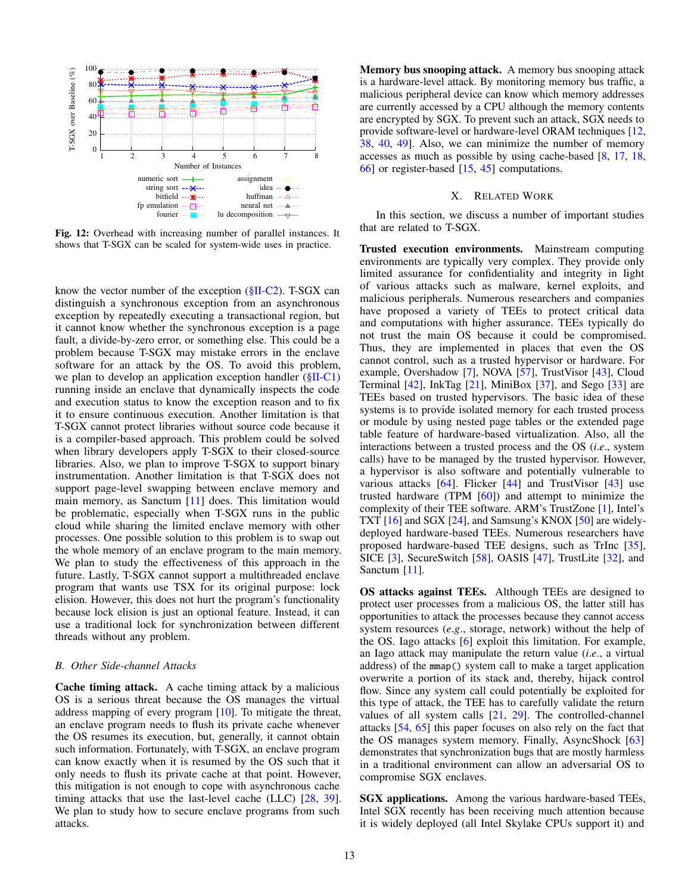<span id="page-12-1"></span>

Fig. 12: Overhead with increasing number of parallel instances. It shows that T-SGX can be scaled for system-wide uses in practice.

know the vector number of the exception  $(\S II - C2)$ . T-SGX can distinguish a synchronous exception from an asynchronous exception by repeatedly executing a transactional region, but it cannot know whether the synchronous exception is a page fault, a divide-by-zero error, or something else. This could be a problem because T-SGX may mistake errors in the enclave software for an attack by the OS. To avoid this problem, we plan to develop an application exception handler [\(§II-C1\)](#page-2-4) running inside an enclave that dynamically inspects the code and execution status to know the exception reason and to fix it to ensure continuous execution. Another limitation is that T-SGX cannot protect libraries without source code because it is a compiler-based approach. This problem could be solved when library developers apply T-SGX to their closed-source libraries. Also, we plan to improve T-SGX to support binary instrumentation. Another limitation is that T-SGX does not support page-level swapping between enclave memory and main memory, as Sanctum [\[11\]](#page-13-18) does. This limitation would be problematic, especially when T-SGX runs in the public cloud while sharing the limited enclave memory with other processes. One possible solution to this problem is to swap out the whole memory of an enclave program to the main memory. We plan to study the effectiveness of this approach in the future. Lastly, T-SGX cannot support a multithreaded enclave program that wants use TSX for its original purpose: lock elision. However, this does not hurt the program's functionality because lock elision is just an optional feature. Instead, it can use a traditional lock for synchronization between different threads without any problem.

## *B. Other Side-channel Attacks*

Cache timing attack. A cache timing attack by a malicious OS is a serious threat because the OS manages the virtual address mapping of every program [\[10\]](#page-13-9). To mitigate the threat, an enclave program needs to flush its private cache whenever the OS resumes its execution, but, generally, it cannot obtain such information. Fortunately, with T-SGX, an enclave program can know exactly when it is resumed by the OS such that it only needs to flush its private cache at that point. However, this mitigation is not enough to cope with asynchronous cache timing attacks that use the last-level cache (LLC) [\[28,](#page-13-19) [39\]](#page-14-17). We plan to study how to secure enclave programs from such attacks.

Memory bus snooping attack. A memory bus snooping attack is a hardware-level attack. By monitoring memory bus traffic, a malicious peripheral device can know which memory addresses are currently accessed by a CPU although the memory contents are encrypted by SGX. To prevent such an attack, SGX needs to provide software-level or hardware-level ORAM techniques [\[12,](#page-13-7) [38,](#page-14-18) [40,](#page-14-16) [49\]](#page-14-13). Also, we can minimize the number of memory accesses as much as possible by using cache-based [\[8,](#page-13-20) [17,](#page-13-21) [18,](#page-13-13) [66\]](#page-14-19) or register-based [\[15,](#page-13-22) [45\]](#page-14-20) computations.

#### X. RELATED WORK

<span id="page-12-0"></span>In this section, we discuss a number of important studies that are related to T-SGX.

Trusted execution environments. Mainstream computing environments are typically very complex. They provide only limited assurance for confidentiality and integrity in light of various attacks such as malware, kernel exploits, and malicious peripherals. Numerous researchers and companies have proposed a variety of TEEs to protect critical data and computations with higher assurance. TEEs typically do not trust the main OS because it could be compromised. Thus, they are implemented in places that even the OS cannot control, such as a trusted hypervisor or hardware. For example, Overshadow [\[7\]](#page-13-23), NOVA [\[57\]](#page-14-21), TrustVisor [\[43\]](#page-14-22), Cloud Terminal [\[42\]](#page-14-23), InkTag [\[21\]](#page-13-17), MiniBox [\[37\]](#page-14-24), and Sego [\[33\]](#page-14-25) are TEEs based on trusted hypervisors. The basic idea of these systems is to provide isolated memory for each trusted process or module by using nested page tables or the extended page table feature of hardware-based virtualization. Also, all the interactions between a trusted process and the OS (*i*.*e*., system calls) have to be managed by the trusted hypervisor. However, a hypervisor is also software and potentially vulnerable to various attacks [\[64\]](#page-14-26). Flicker [\[44\]](#page-14-27) and TrustVisor [\[43\]](#page-14-22) use trusted hardware (TPM [\[60\]](#page-14-1)) and attempt to minimize the complexity of their TEE software. ARM's TrustZone [\[1\]](#page-13-1), Intel's TXT [\[16\]](#page-13-2) and SGX [\[24\]](#page-13-3), and Samsung's KNOX [\[50\]](#page-14-0) are widelydeployed hardware-based TEEs. Numerous researchers have proposed hardware-based TEE designs, such as TrInc [\[35\]](#page-14-28), SICE [\[3\]](#page-13-24), SecureSwitch [\[58\]](#page-14-29), OASIS [\[47\]](#page-14-30), TrustLite [\[32\]](#page-14-31), and Sanctum [\[11\]](#page-13-18).

OS attacks against TEEs. Although TEEs are designed to protect user processes from a malicious OS, the latter still has opportunities to attack the processes because they cannot access system resources (*e*.*g*., storage, network) without the help of the OS. Iago attacks [\[6\]](#page-13-25) exploit this limitation. For example, an Iago attack may manipulate the return value (*i*.*e*., a virtual address) of the mmap() system call to make a target application overwrite a portion of its stack and, thereby, hijack control flow. Since any system call could potentially be exploited for this type of attack, the TEE has to carefully validate the return values of all system calls [\[21,](#page-13-17) [29\]](#page-14-32). The controlled-channel attacks [\[54,](#page-14-11) [65\]](#page-14-12) this paper focuses on also rely on the fact that the OS manages system memory. Finally, AsyncShock [\[63\]](#page-14-33) demonstrates that synchronization bugs that are mostly harmless in a traditional environment can allow an adversarial OS to compromise SGX enclaves.

SGX applications. Among the various hardware-based TEEs, Intel SGX recently has been receiving much attention because it is widely deployed (all Intel Skylake CPUs support it) and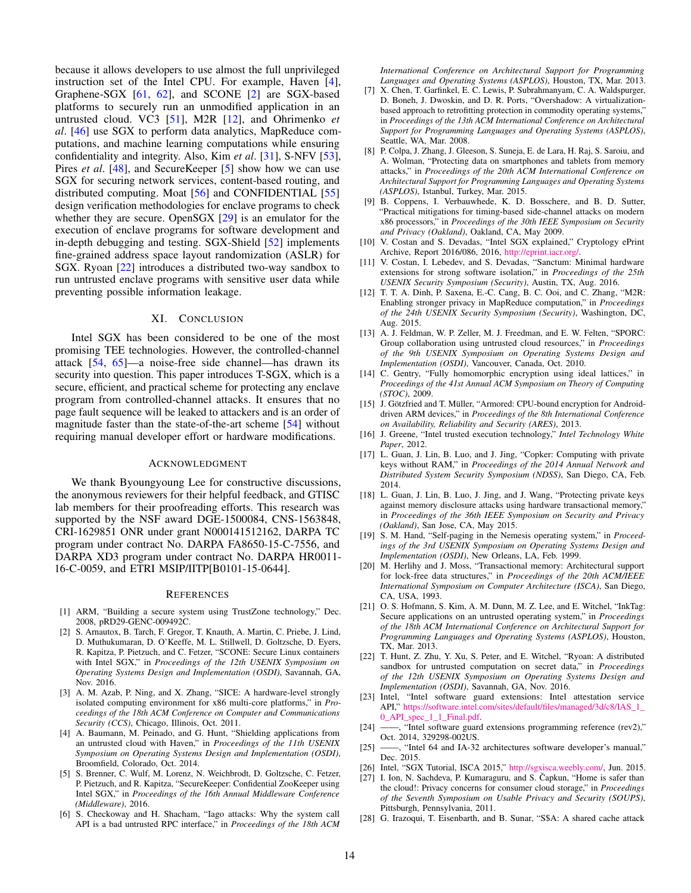because it allows developers to use almost the full unprivileged instruction set of the Intel CPU. For example, Haven [\[4\]](#page-13-8), Graphene-SGX [\[61,](#page-14-9) [62\]](#page-14-10), and SCONE [\[2\]](#page-13-26) are SGX-based platforms to securely run an unmodified application in an untrusted cloud. VC3 [\[51\]](#page-14-5), M2R [\[12\]](#page-13-7), and Ohrimenko *et al*. [\[46\]](#page-14-6) use SGX to perform data analytics, MapReduce computations, and machine learning computations while ensuring confidentiality and integrity. Also, Kim *et al*. [\[31\]](#page-14-7), S-NFV [\[53\]](#page-14-8), Pires *et al.* [\[48\]](#page-14-34), and SecureKeeper [\[5\]](#page-13-27) show how we can use SGX for securing network services, content-based routing, and distributed computing. Moat [\[56\]](#page-14-35) and CONFIDENTIAL [\[55\]](#page-14-36) design verification methodologies for enclave programs to check whether they are secure. OpenSGX [\[29\]](#page-14-32) is an emulator for the execution of enclave programs for software development and in-depth debugging and testing. SGX-Shield [\[52\]](#page-14-37) implements fine-grained address space layout randomization (ASLR) for SGX. Ryoan [\[22\]](#page-13-28) introduces a distributed two-way sandbox to run untrusted enclave programs with sensitive user data while preventing possible information leakage.

# XI. CONCLUSION

<span id="page-13-14"></span>Intel SGX has been considered to be one of the most promising TEE technologies. However, the controlled-channel attack [\[54,](#page-14-11) [65\]](#page-14-12)—a noise-free side channel—has drawn its security into question. This paper introduces T-SGX, which is a secure, efficient, and practical scheme for protecting any enclave program from controlled-channel attacks. It ensures that no page fault sequence will be leaked to attackers and is an order of magnitude faster than the state-of-the-art scheme [\[54\]](#page-14-11) without requiring manual developer effort or hardware modifications.

#### ACKNOWLEDGMENT

We thank Byoungyoung Lee for constructive discussions, the anonymous reviewers for their helpful feedback, and GTISC lab members for their proofreading efforts. This research was supported by the NSF award DGE-1500084, CNS-1563848, CRI-1629851 ONR under grant N000141512162, DARPA TC program under contract No. DARPA FA8650-15-C-7556, and DARPA XD3 program under contract No. DARPA HR0011- 16-C-0059, and ETRI MSIP/IITP[B0101-15-0644].

#### **REFERENCES**

- <span id="page-13-1"></span>[1] ARM, "Building a secure system using TrustZone technology," Dec. 2008, pRD29-GENC-009492C.
- <span id="page-13-26"></span>[2] S. Arnautox, B. Tarch, F. Gregor, T. Knauth, A. Martin, C. Priebe, J. Lind, D. Muthukumaran, D. O'Keeffe, M. L. Stillwell, D. Goltzsche, D. Eyers, R. Kapitza, P. Pietzuch, and C. Fetzer, "SCONE: Secure Linux containers with Intel SGX," in *Proceedings of the 12th USENIX Symposium on Operating Systems Design and Implementation (OSDI)*, Savannah, GA, Nov. 2016.
- <span id="page-13-24"></span>[3] A. M. Azab, P. Ning, and X. Zhang, "SICE: A hardware-level strongly isolated computing environment for x86 multi-core platforms," in *Proceedings of the 18th ACM Conference on Computer and Communications Security (CCS)*, Chicago, Illinois, Oct. 2011.
- <span id="page-13-8"></span>[4] A. Baumann, M. Peinado, and G. Hunt, "Shielding applications from an untrusted cloud with Haven," in *Proceedings of the 11th USENIX Symposium on Operating Systems Design and Implementation (OSDI)*, Broomfield, Colorado, Oct. 2014.
- <span id="page-13-27"></span>[5] S. Brenner, C. Wulf, M. Lorenz, N. Weichbrodt, D. Goltzsche, C. Fetzer, P. Pietzuch, and R. Kapitza, "SecureKeeper: Confidential ZooKeeper using Intel SGX," in *Proceedings of the 16th Annual Middleware Conference (Middleware)*, 2016.
- <span id="page-13-25"></span>[6] S. Checkoway and H. Shacham, "Iago attacks: Why the system call API is a bad untrusted RPC interface," in *Proceedings of the 18th ACM*

*International Conference on Architectural Support for Programming Languages and Operating Systems (ASPLOS)*, Houston, TX, Mar. 2013.

- <span id="page-13-23"></span>[7] X. Chen, T. Garfinkel, E. C. Lewis, P. Subrahmanyam, C. A. Waldspurger, D. Boneh, J. Dwoskin, and D. R. Ports, "Overshadow: A virtualizationbased approach to retrofitting protection in commodity operating systems," in *Proceedings of the 13th ACM International Conference on Architectural Support for Programming Languages and Operating Systems (ASPLOS)*, Seattle, WA, Mar. 2008.
- <span id="page-13-20"></span>[8] P. Colpa, J. Zhang, J. Gleeson, S. Suneja, E. de Lara, H. Raj, S. Saroiu, and A. Wolman, "Protecting data on smartphones and tablets from memory attacks," in *Proceedings of the 20th ACM International Conference on Architectural Support for Programming Languages and Operating Systems (ASPLOS)*, Istanbul, Turkey, Mar. 2015.
- <span id="page-13-10"></span>[9] B. Coppens, I. Verbauwhede, K. D. Bosschere, and B. D. Sutter, "Practical mitigations for timing-based side-channel attacks on modern x86 processors," in *Proceedings of the 30th IEEE Symposium on Security and Privacy (Oakland)*, Oakland, CA, May 2009.
- <span id="page-13-9"></span>[10] V. Costan and S. Devadas, "Intel SGX explained," Cryptology ePrint Archive, Report 2016/086, 2016, [http://eprint.iacr.org/.](http://eprint.iacr.org/)
- <span id="page-13-18"></span>[11] V. Costan, I. Lebedev, and S. Devadas, "Sanctum: Minimal hardware extensions for strong software isolation," in *Proceedings of the 25th USENIX Security Symposium (Security)*, Austin, TX, Aug. 2016.
- <span id="page-13-7"></span>[12] T. T. A. Dinh, P. Saxena, E.-C. Cang, B. C. Ooi, and C. Zhang, "M2R: Enabling stronger privacy in MapReduce computation," in *Proceedings of the 24th USENIX Security Symposium (Security)*, Washington, DC, Aug. 2015.
- <span id="page-13-5"></span>[13] A. J. Feldman, W. P. Zeller, M. J. Freedman, and E. W. Felten, "SPORC: Group collaboration using untrusted cloud resources," in *Proceedings of the 9th USENIX Symposium on Operating Systems Design and Implementation (OSDI)*, Vancouver, Canada, Oct. 2010.
- <span id="page-13-4"></span>[14] C. Gentry, "Fully homomorphic encryption using ideal lattices," in *Proceedings of the 41st Annual ACM Symposium on Theory of Computing (STOC)*, 2009.
- <span id="page-13-22"></span>[15] J. Götzfried and T. Müller, "Armored: CPU-bound encryption for Androiddriven ARM devices," in *Proceedings of the 8th International Conference on Availability, Reliability and Security (ARES)*, 2013.
- <span id="page-13-2"></span>[16] J. Greene, "Intel trusted execution technology," *Intel Technology White Paper*, 2012.
- <span id="page-13-21"></span>[17] L. Guan, J. Lin, B. Luo, and J. Jing, "Copker: Computing with private keys without RAM," in *Proceedings of the 2014 Annual Network and Distributed System Security Symposium (NDSS)*, San Diego, CA, Feb. 2014.
- <span id="page-13-13"></span>[18] L. Guan, J. Lin, B. Luo, J. Jing, and J. Wang, "Protecting private keys against memory disclosure attacks using hardware transactional memory," in *Proceedings of the 36th IEEE Symposium on Security and Privacy (Oakland)*, San Jose, CA, May 2015.
- <span id="page-13-11"></span>[19] S. M. Hand, "Self-paging in the Nemesis operating system," in *Proceedings of the 3rd USENIX Symposium on Operating Systems Design and Implementation (OSDI)*, New Orleans, LA, Feb. 1999.
- <span id="page-13-16"></span>[20] M. Herlihy and J. Moss, "Transactional memory: Architectural support for lock-free data structures," in *Proceedings of the 20th ACM/IEEE International Symposium on Computer Architecture (ISCA)*, San Diego, CA, USA, 1993.
- <span id="page-13-17"></span>[21] O. S. Hofmann, S. Kim, A. M. Dunn, M. Z. Lee, and E. Witchel, "InkTag: Secure applications on an untrusted operating system," in *Proceedings of the 18th ACM International Conference on Architectural Support for Programming Languages and Operating Systems (ASPLOS)*, Houston, TX, Mar. 2013.
- <span id="page-13-28"></span>[22] T. Hunt, Z. Zhu, Y. Xu, S. Peter, and E. Witchel, "Ryoan: A distributed sandbox for untrusted computation on secret data," in *Proceedings of the 12th USENIX Symposium on Operating Systems Design and Implementation (OSDI)*, Savannah, GA, Nov. 2016.
- <span id="page-13-15"></span>[23] Intel, "Intel software guard extensions: Intel attestation service API," [https://software.intel.com/sites/default/files/managed/3d/c8/IAS\\_1\\_](https://software.intel.com/sites/default/files/managed/3d/c8/IAS_1_0_API_spec_1_1_Final.pdf) [0\\_API\\_spec\\_1\\_1\\_Final.pdf.](https://software.intel.com/sites/default/files/managed/3d/c8/IAS_1_0_API_spec_1_1_Final.pdf)
- <span id="page-13-3"></span>[24] ——, "Intel software guard extensions programming reference (rev2)," Oct. 2014, 329298-002US.
- <span id="page-13-12"></span>[25] ——, "Intel 64 and IA-32 architectures software developer's manual," Dec. 2015.
- <span id="page-13-6"></span>[26] Intel, "SGX Tutorial, ISCA 2015," [http://sgxisca.weebly.com/,](http://sgxisca.weebly.com/) Jun. 2015.<br>[27] I. Ion, N. Sachdeva, P. Kumaraguru, and S. Čapkun, "Home is safer than
- <span id="page-13-0"></span>I. Ion, N. Sachdeva, P. Kumaraguru, and S. Čapkun, "Home is safer than the cloud!: Privacy concerns for consumer cloud storage," in *Proceedings of the Seventh Symposium on Usable Privacy and Security (SOUPS)*, Pittsburgh, Pennsylvania, 2011.
- <span id="page-13-19"></span>[28] G. Irazoqui, T. Eisenbarth, and B. Sunar, "S\$A: A shared cache attack